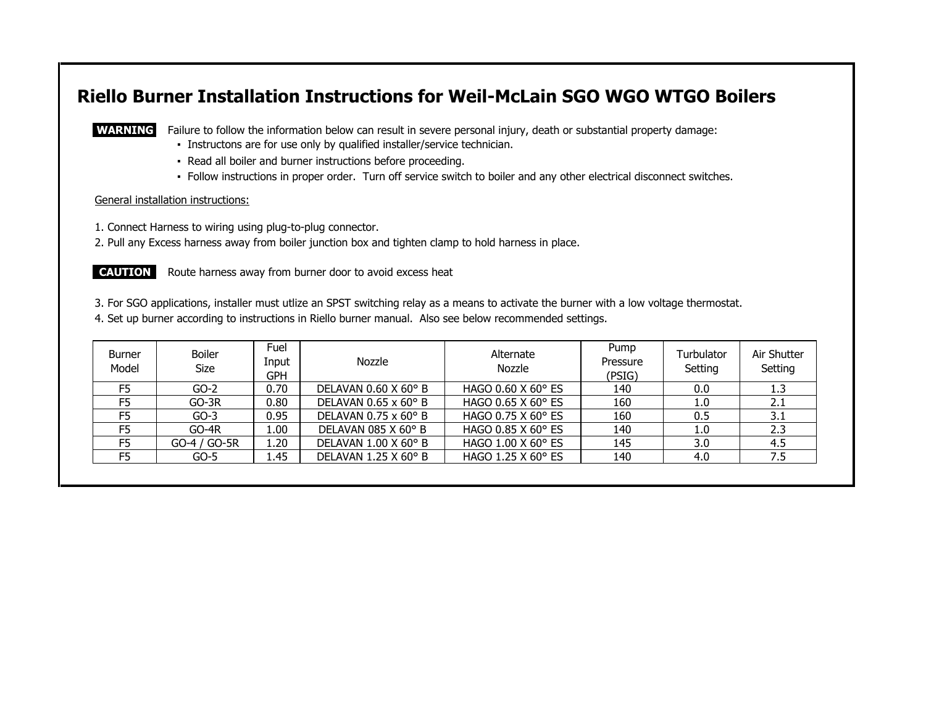# **Riello Burner Installation Instructions for Weil-McLain SGO WGO WTGO Boilers**

**WARNING** Failure to follow the information below can result in severe personal injury, death or substantial property damage:

- Instructons are for use only by qualified installer/service technician.
- Read all boiler and burner instructions before proceeding.
- Follow instructions in proper order. Turn off service switch to boiler and any other electrical disconnect switches.

#### General installation instructions:

1. Connect Harness to wiring using plug-to-plug connector.

2. Pull any Excess harness away from boiler junction box and tighten clamp to hold harness in place.

**CAUTION:** Route harness away from burner door to avoid excess heat

3. For SGO applications, installer must utlize an SPST switching relay as a means to activate the burner with a low voltage thermostat.

4. Set up burner according to instructions in Riello burner manual. Also see below recommended settings.

| <b>Burner</b><br>Model | <b>Boiler</b><br>Size | Fuel<br>Input<br>GPH | Nozzle                             | Alternate<br>Nozzle           | Pump<br>Pressure<br>(PSIG) | Turbulator<br>Setting | Air Shutter<br>Setting |
|------------------------|-----------------------|----------------------|------------------------------------|-------------------------------|----------------------------|-----------------------|------------------------|
| F <sub>5</sub>         | $GO-2$                | 0.70                 | DELAVAN $0.60$ X $60^{\circ}$ B    | HAGO $0.60$ X $60^{\circ}$ ES | 140                        | 0.0                   | 1.3                    |
| F <sub>5</sub>         | $GO-3R$               | 0.80                 | DELAVAN $0.65 \times 60^{\circ}$ B | HAGO 0.65 X 60° ES            | 160                        | 1.0                   | 2.1                    |
| F <sub>5</sub>         | $GO-3$                | 0.95                 | DELAVAN $0.75 \times 60^{\circ}$ B | HAGO 0.75 X 60° ES            | 160                        | 0.5                   | 3.1                    |
| F <sub>5</sub>         | $GO-4R$               | 1.00                 | DELAVAN 085 X 60° B                | HAGO 0.85 X 60° ES            | 140                        | 1.0                   | 2.3                    |
| F <sub>5</sub>         | GO-4 / GO-5R          | 1.20                 | DELAVAN $1.00 \times 60^{\circ}$ B | HAGO 1.00 X 60° ES            | 145                        | 3.0                   | 4.5                    |
| F <sub>5</sub>         | $GO-5$                | 1.45                 | DELAVAN 1.25 X 60 $\degree$ B      | HAGO 1.25 X 60° ES            | 140                        | 4.0                   | 7.5                    |
|                        |                       |                      |                                    |                               |                            |                       |                        |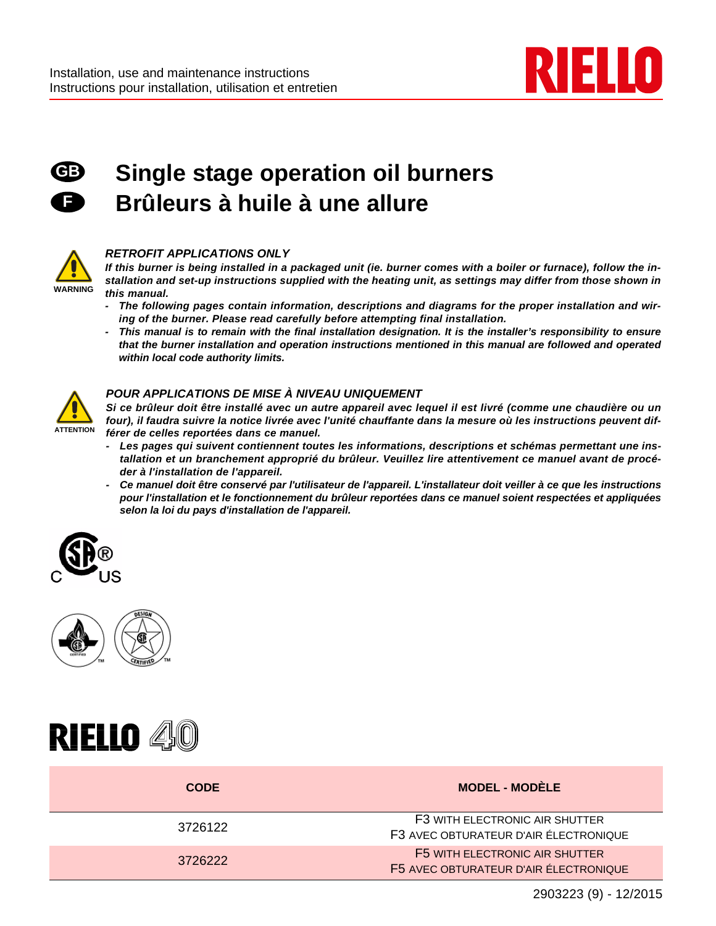



# **Single stage operation oil burners Brûleurs à huile à une allure**



#### *RETROFIT APPLICATIONS ONLY*

*If this burner is being installed in a packaged unit (ie. burner comes with a boiler or furnace), follow the installation and set-up instructions supplied with the heating unit, as settings may differ from those shown in this manual.*

- *The following pages contain information, descriptions and diagrams for the proper installation and wiring of the burner. Please read carefully before attempting final installation.*
- *This manual is to remain with the final installation designation. It is the installer's responsibility to ensure that the burner installation and operation instructions mentioned in this manual are followed and operated within local code authority limits.*



#### *POUR APPLICATIONS DE MISE À NIVEAU UNIQUEMENT*

*Si ce brûleur doit être installé avec un autre appareil avec lequel il est livré (comme une chaudière ou un four), il faudra suivre la notice livrée avec l'unité chauffante dans la mesure où les instructions peuvent différer de celles reportées dans ce manuel.*

- *Les pages qui suivent contiennent toutes les informations, descriptions et schémas permettant une installation et un branchement approprié du brûleur. Veuillez lire attentivement ce manuel avant de procéder à l'installation de l'appareil.*
- *Ce manuel doit être conservé par l'utilisateur de l'appareil. L'installateur doit veiller à ce que les instructions pour l'installation et le fonctionnement du brûleur reportées dans ce manuel soient respectées et appliquées selon la loi du pays d'installation de l'appareil.*







| <b>CODE</b> | <b>MODEL - MODÈLE</b>                                                   |
|-------------|-------------------------------------------------------------------------|
| 3726122     | F3 WITH ELECTRONIC AIR SHUTTER<br>F3 AVEC OBTURATEUR D'AIR ÉLECTRONIQUE |
| 3726222     | F5 WITH ELECTRONIC AIR SHUTTER<br>F5 AVEC OBTURATEUR D'AIR ÉLECTRONIQUE |
|             |                                                                         |

2903223 (9) - 12/2015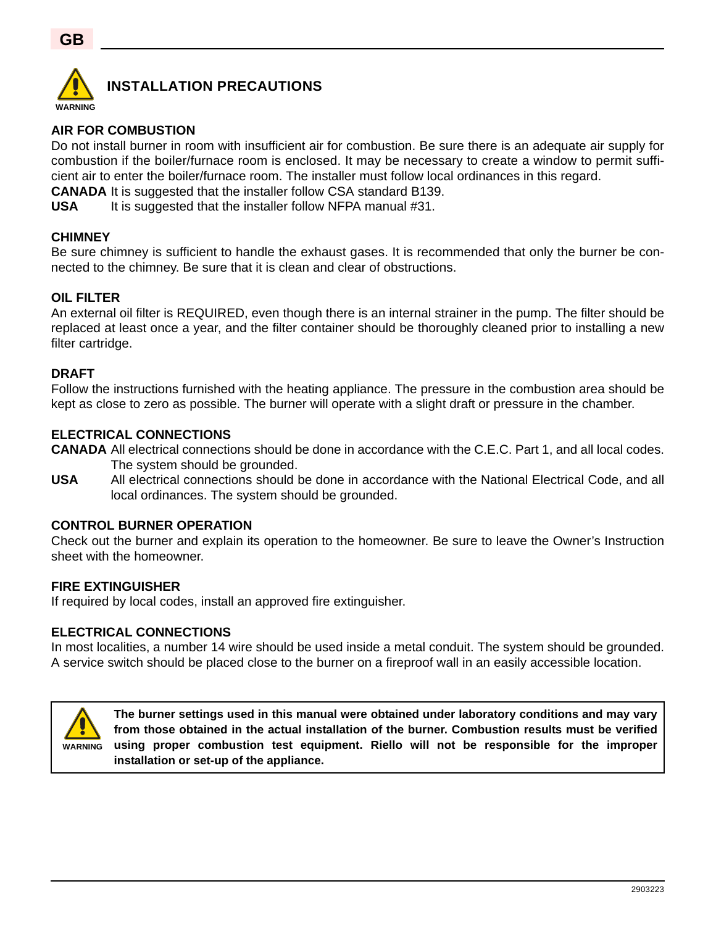

## **INSTALLATION PRECAUTIONS**

## **AIR FOR COMBUSTION**

Do not install burner in room with insufficient air for combustion. Be sure there is an adequate air supply for combustion if the boiler/furnace room is enclosed. It may be necessary to create a window to permit sufficient air to enter the boiler/furnace room. The installer must follow local ordinances in this regard.

**CANADA** It is suggested that the installer follow CSA standard B139.

**USA** It is suggested that the installer follow NFPA manual #31.

#### **CHIMNEY**

Be sure chimney is sufficient to handle the exhaust gases. It is recommended that only the burner be connected to the chimney. Be sure that it is clean and clear of obstructions.

#### **OIL FILTER**

An external oil filter is REQUIRED, even though there is an internal strainer in the pump. The filter should be replaced at least once a year, and the filter container should be thoroughly cleaned prior to installing a new filter cartridge.

#### **DRAFT**

Follow the instructions furnished with the heating appliance. The pressure in the combustion area should be kept as close to zero as possible. The burner will operate with a slight draft or pressure in the chamber.

#### **ELECTRICAL CONNECTIONS**

**CANADA** All electrical connections should be done in accordance with the C.E.C. Part 1, and all local codes. The system should be grounded.

**USA** All electrical connections should be done in accordance with the National Electrical Code, and all local ordinances. The system should be grounded.

#### **CONTROL BURNER OPERATION**

Check out the burner and explain its operation to the homeowner. Be sure to leave the Owner's Instruction sheet with the homeowner.

#### **FIRE EXTINGUISHER**

If required by local codes, install an approved fire extinguisher.

#### **ELECTRICAL CONNECTIONS**

In most localities, a number 14 wire should be used inside a metal conduit. The system should be grounded. A service switch should be placed close to the burner on a fireproof wall in an easily accessible location.



**The burner settings used in this manual were obtained under laboratory conditions and may vary from those obtained in the actual installation of the burner. Combustion results must be verified using proper combustion test equipment. Riello will not be responsible for the improper installation or set-up of the appliance.**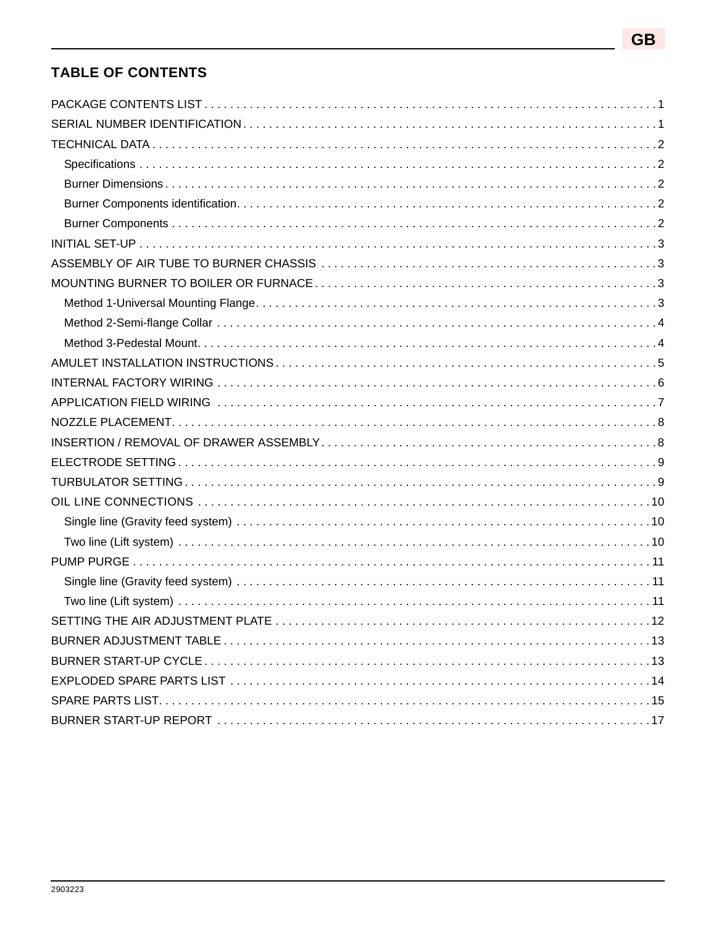## **TABLE OF CONTENTS**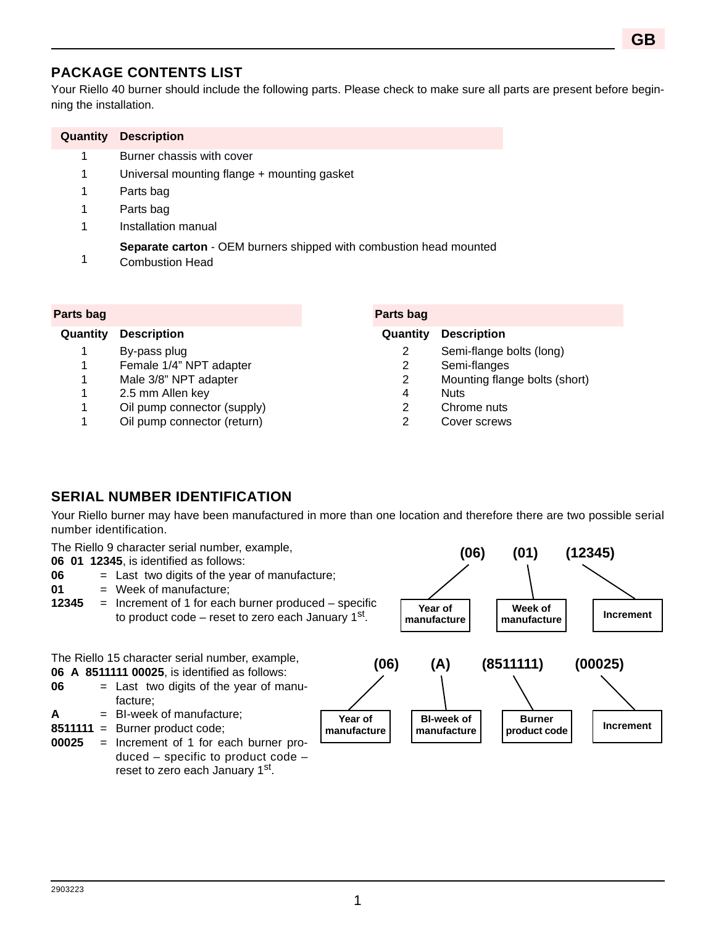## **PACKAGE CONTENTS LIST**

Your Riello 40 burner should include the following parts. Please check to make sure all parts are present before beginning the installation.

| Quantity | <b>Description</b>                                                                                  |
|----------|-----------------------------------------------------------------------------------------------------|
| 1        | Burner chassis with cover                                                                           |
| 1        | Universal mounting flange + mounting gasket                                                         |
| 1        | Parts bag                                                                                           |
| 1        | Parts bag                                                                                           |
| 1        | Installation manual                                                                                 |
|          | <b>Separate carton - OEM burners shipped with combustion head mounted</b><br><b>Combustion Head</b> |

#### **Parts bag Parts bag**

- 1 By-pass plug
- 1 Female 1/4" NPT adapter
- 1 Male 3/8" NPT adapter
- 1 2.5 mm Allen key
- 1 Oil pump connector (supply)
- 1 Oil pump connector (return)

#### **Quantity Description Quantity Description**

- 2 Semi-flange bolts (long)
- $\mathfrak{p}$ Semi-flanges
- 2 Mounting flange bolts (short)
- 4 Nuts
- 2 Chrome nuts
- $\mathfrak{D}$ Cover screws

## **SERIAL NUMBER IDENTIFICATION**

Your Riello burner may have been manufactured in more than one location and therefore there are two possible serial number identification.

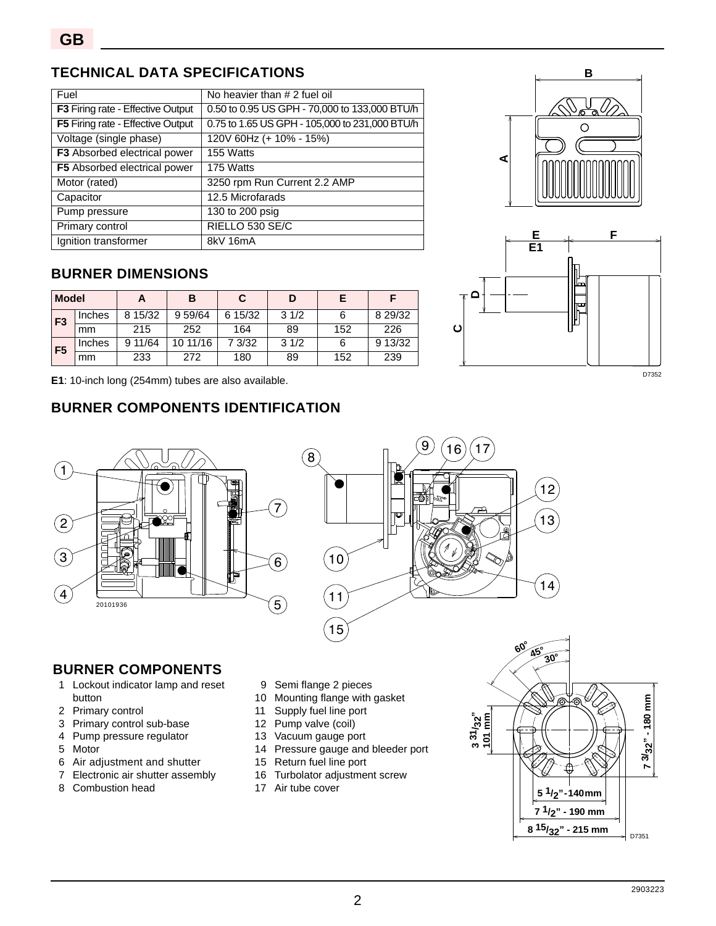## **TECHNICAL DATA SPECIFICATIONS**

| Fuel                              | No heavier than # 2 fuel oil                   |
|-----------------------------------|------------------------------------------------|
| F3 Firing rate - Effective Output | 0.50 to 0.95 US GPH - 70,000 to 133,000 BTU/h  |
| F5 Firing rate - Effective Output | 0.75 to 1.65 US GPH - 105,000 to 231,000 BTU/h |
| Voltage (single phase)            | 120V 60Hz (+ 10% - 15%)                        |
| F3 Absorbed electrical power      | 155 Watts                                      |
| F5 Absorbed electrical power      | 175 Watts                                      |
| Motor (rated)                     | 3250 rpm Run Current 2.2 AMP                   |
| Capacitor                         | 12.5 Microfarads                               |
| Pump pressure                     | 130 to 200 psig                                |
| Primary control                   | RIELLO 530 SE/C                                |
| Ignition transformer              | 8kV 16mA                                       |

## **BURNER DIMENSIONS**

| <b>Model</b>   |        | n       | В        |         | D    |     |         |
|----------------|--------|---------|----------|---------|------|-----|---------|
| F <sub>3</sub> | Inches | 8 15/32 | 9 59/64  | 6 15/32 | 31/2 |     | 8 29/32 |
|                | mm     | 215     | 252      | 164     | 89   | 152 | 226     |
| F <sub>5</sub> | Inches | 9 11/64 | 10 11/16 | 7 3/32  | 31/2 |     | 9 13/32 |
|                | mm     | 233     | 272      | 180     | 89   | 152 | 239     |

**E1**: 10-inch long (254mm) tubes are also available.

## **BURNER COMPONENTS IDENTIFICATION**





12

13

14

D7352



## **BURNER COMPONENTS**

- 1 Lockout indicator lamp and reset button
- 2 Primary control
- 3 Primary control sub-base
- 4 Pump pressure regulator
- 5 Motor
- 6 Air adjustment and shutter
- 7 Electronic air shutter assembly
- 8 Combustion head
- 9 Semi flange 2 pieces
- 10 Mounting flange with gasket
- 11 Supply fuel line port
- 12 Pump valve (coil)
- 13 Vacuum gauge port
- 14 Pressure gauge and bleeder port
- 15 Return fuel line port
- 16 Turbolator adjustment screw
- 17 Air tube cover

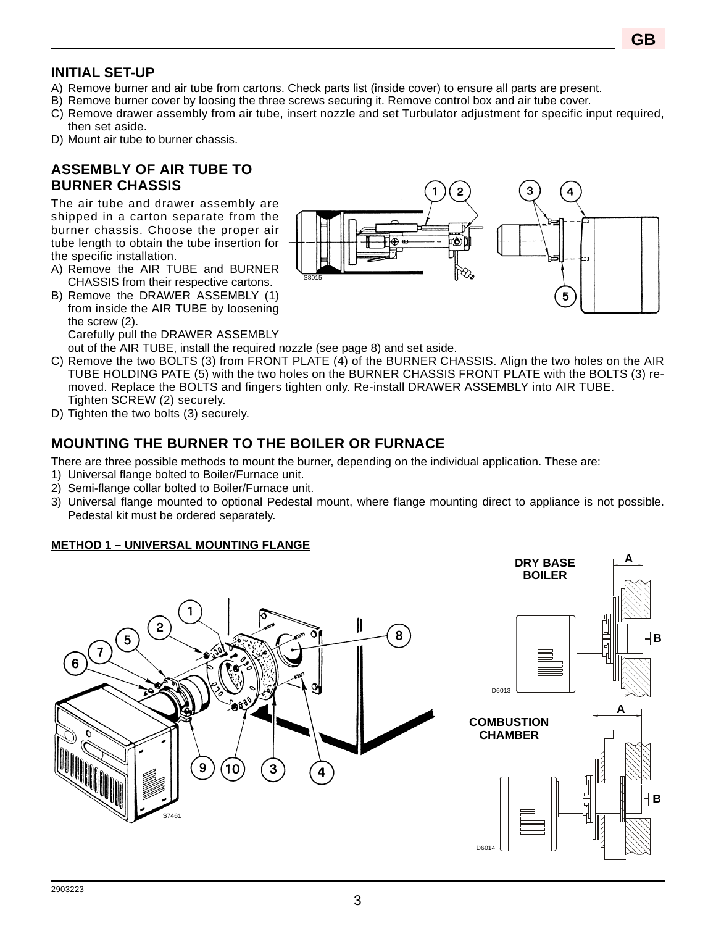## **INITIAL SET-UP**

- A) Remove burner and air tube from cartons. Check parts list (inside cover) to ensure all parts are present.
- B) Remove burner cover by loosing the three screws securing it. Remove control box and air tube cover.
- C) Remove drawer assembly from air tube, insert nozzle and set Turbulator adjustment for specific input required, then set aside.
- D) Mount air tube to burner chassis.

## **ASSEMBLY OF AIR TUBE TO BURNER CHASSIS**

The air tube and drawer assembly are shipped in a carton separate from the burner chassis. Choose the proper air tube length to obtain the tube insertion for the specific installation.

- A) Remove the AIR TUBE and BURNER CHASSIS from their respective cartons.
- B) Remove the DRAWER ASSEMBLY (1) from inside the AIR TUBE by loosening the screw (2). Carefully pull the DRAWER ASSEMBLY



out of the AIR TUBE, install the required nozzle (see page 8) and set aside.

- C) Remove the two BOLTS (3) from FRONT PLATE (4) of the BURNER CHASSIS. Align the two holes on the AIR TUBE HOLDING PATE (5) with the two holes on the BURNER CHASSIS FRONT PLATE with the BOLTS (3) removed. Replace the BOLTS and fingers tighten only. Re-install DRAWER ASSEMBLY into AIR TUBE. Tighten SCREW (2) securely.
- D) Tighten the two bolts (3) securely.

## **MOUNTING THE BURNER TO THE BOILER OR FURNACE**

There are three possible methods to mount the burner, depending on the individual application. These are:

- 1) Universal flange bolted to Boiler/Furnace unit.
- 2) Semi-flange collar bolted to Boiler/Furnace unit.
- 3) Universal flange mounted to optional Pedestal mount, where flange mounting direct to appliance is not possible. Pedestal kit must be ordered separately.

### **METHOD 1 – UNIVERSAL MOUNTING FLANGE**

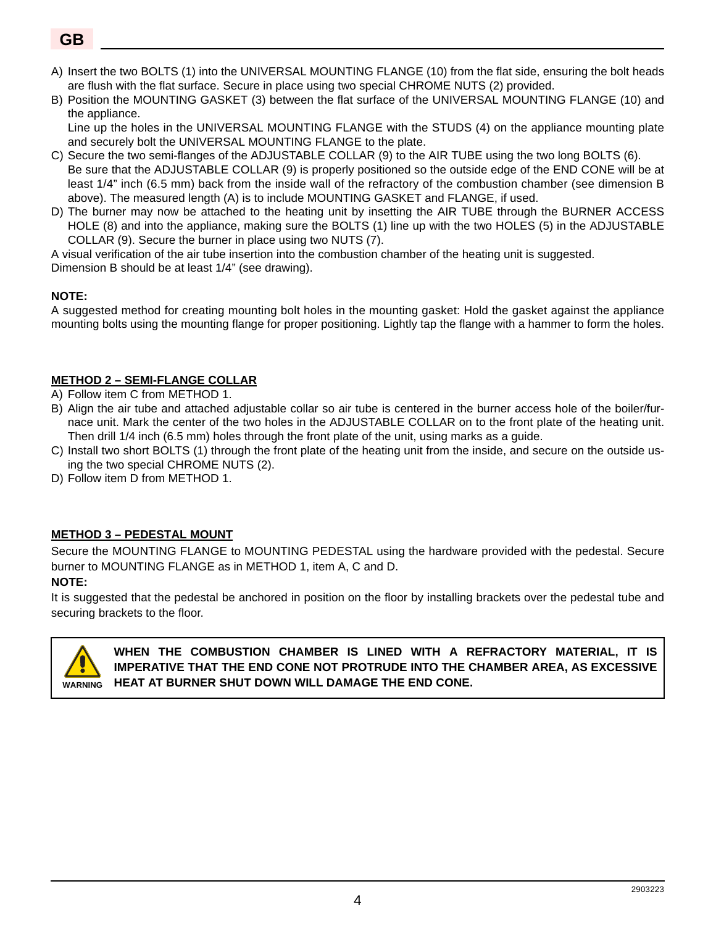- A) Insert the two BOLTS (1) into the UNIVERSAL MOUNTING FLANGE (10) from the flat side, ensuring the bolt heads are flush with the flat surface. Secure in place using two special CHROME NUTS (2) provided.
- B) Position the MOUNTING GASKET (3) between the flat surface of the UNIVERSAL MOUNTING FLANGE (10) and the appliance.

Line up the holes in the UNIVERSAL MOUNTING FLANGE with the STUDS (4) on the appliance mounting plate and securely bolt the UNIVERSAL MOUNTING FLANGE to the plate.

- C) Secure the two semi-flanges of the ADJUSTABLE COLLAR (9) to the AIR TUBE using the two long BOLTS (6). Be sure that the ADJUSTABLE COLLAR (9) is properly positioned so the outside edge of the END CONE will be at least 1/4" inch (6.5 mm) back from the inside wall of the refractory of the combustion chamber (see dimension B above). The measured length (A) is to include MOUNTING GASKET and FLANGE, if used.
- D) The burner may now be attached to the heating unit by insetting the AIR TUBE through the BURNER ACCESS HOLE (8) and into the appliance, making sure the BOLTS (1) line up with the two HOLES (5) in the ADJUSTABLE COLLAR (9). Secure the burner in place using two NUTS (7).

A visual verification of the air tube insertion into the combustion chamber of the heating unit is suggested. Dimension B should be at least 1/4" (see drawing).

#### **NOTE:**

A suggested method for creating mounting bolt holes in the mounting gasket: Hold the gasket against the appliance mounting bolts using the mounting flange for proper positioning. Lightly tap the flange with a hammer to form the holes.

#### **METHOD 2 – SEMI-FLANGE COLLAR**

- A) Follow item C from METHOD 1.
- B) Align the air tube and attached adjustable collar so air tube is centered in the burner access hole of the boiler/furnace unit. Mark the center of the two holes in the ADJUSTABLE COLLAR on to the front plate of the heating unit. Then drill 1/4 inch (6.5 mm) holes through the front plate of the unit, using marks as a guide.
- C) Install two short BOLTS (1) through the front plate of the heating unit from the inside, and secure on the outside using the two special CHROME NUTS (2).
- D) Follow item D from METHOD 1.

#### **METHOD 3 – PEDESTAL MOUNT**

Secure the MOUNTING FLANGE to MOUNTING PEDESTAL using the hardware provided with the pedestal. Secure burner to MOUNTING FLANGE as in METHOD 1, item A, C and D.

#### **NOTE:**

It is suggested that the pedestal be anchored in position on the floor by installing brackets over the pedestal tube and securing brackets to the floor.



**WHEN THE COMBUSTION CHAMBER IS LINED WITH A REFRACTORY MATERIAL, IT IS IMPERATIVE THAT THE END CONE NOT PROTRUDE INTO THE CHAMBER AREA, AS EXCESSIVE WARNING HEAT AT BURNER SHUT DOWN WILL DAMAGE THE END CONE.**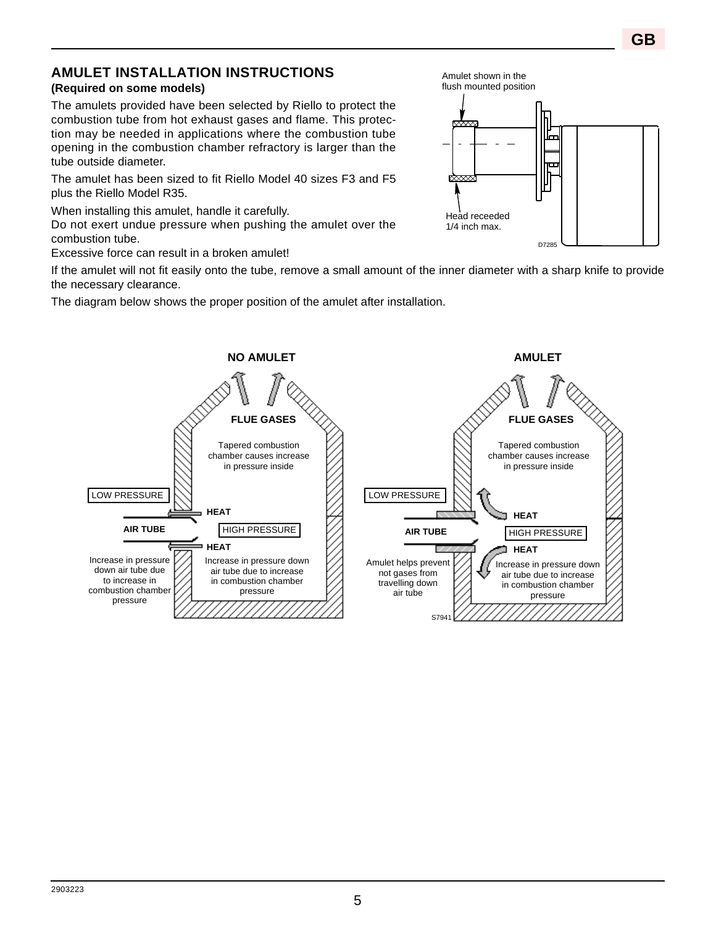# **AMULET INSTALLATION INSTRUCTIONS**

## **(Required on some models)**

The amulets provided have been selected by Riello to protect the combustion tube from hot exhaust gases and flame. This protection may be needed in applications where the combustion tube opening in the combustion chamber refractory is larger than the tube outside diameter.

The amulet has been sized to fit Riello Model 40 sizes F3 and F5 plus the Riello Model R35.

When installing this amulet, handle it carefully.

Do not exert undue pressure when pushing the amulet over the combustion tube.

Excessive force can result in a broken amulet!

If the amulet will not fit easily onto the tube, remove a small amount of the inner diameter with a sharp knife to provide the necessary clearance.

The diagram below shows the proper position of the amulet after installation.



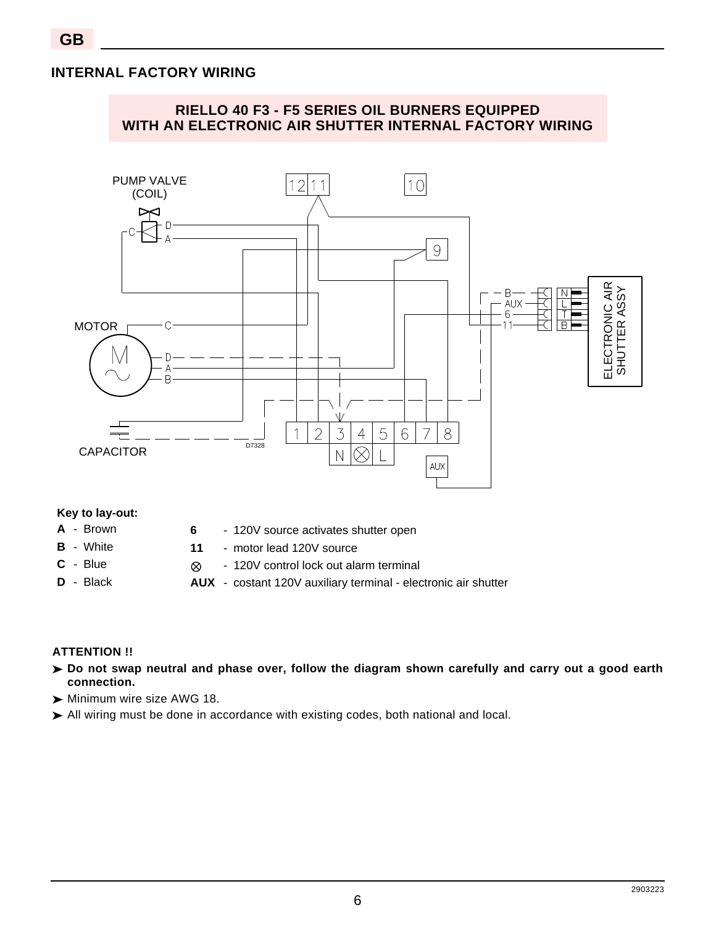## **INTERNAL FACTORY WIRING**



#### **Key to lay-out:**

- **A** Brown
- **B** White
- **C** Blue
- **D** Black
- **6** 120V source activates shutter open
- **11** motor lead 120V source
	- 120V control lock out alarm terminal
- **AUX** costant 120V auxiliary terminal electronic air shutter

### **ATTENTION !!**

- **Do not swap neutral and phase over, follow the diagram shown carefully and carry out a good earth connection.**
- Minimum wire size AWG 18.

 $\otimes$ 

All wiring must be done in accordance with existing codes, both national and local.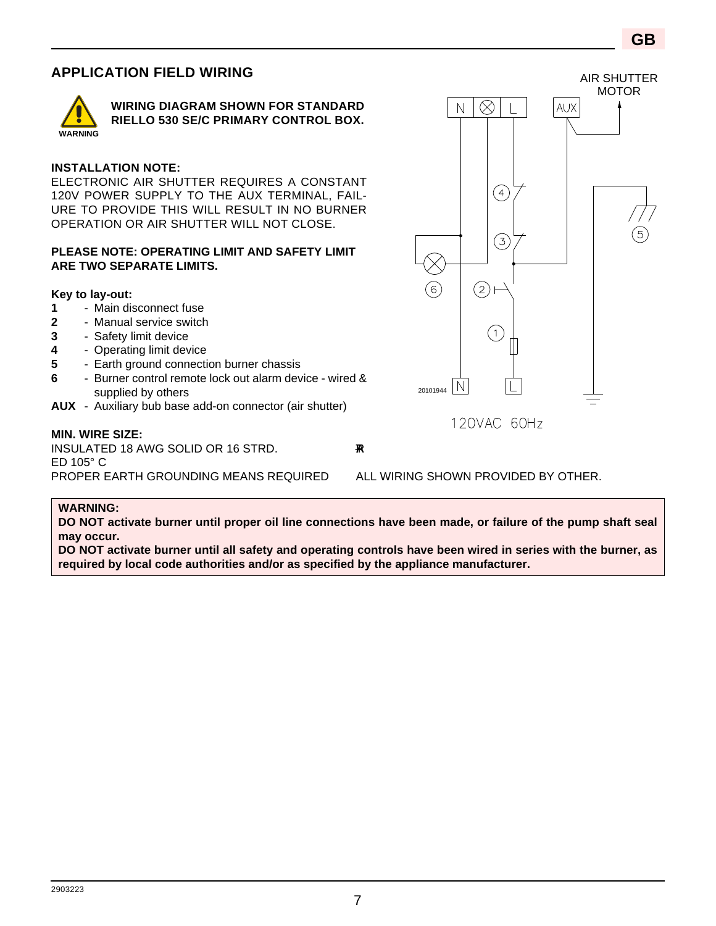## **APPLICATION FIELD WIRING**



**WIRING DIAGRAM SHOWN FOR STANDARD RIELLO 530 SE/C PRIMARY CONTROL BOX.**

#### **INSTALLATION NOTE:**

ELECTRONIC AIR SHUTTER REQUIRES A CONSTANT 120V POWER SUPPLY TO THE AUX TERMINAL, FAIL-URE TO PROVIDE THIS WILL RESULT IN NO BURNER OPERATION OR AIR SHUTTER WILL NOT CLOSE.

#### **PLEASE NOTE: OPERATING LIMIT AND SAFETY LIMIT ARE TWO SEPARATE LIMITS.**

#### **Key to lay-out:**

- **1** Main disconnect fuse
- **2** Manual service switch
- **3** Safety limit device
- **4** Operating limit device
- **5** Earth ground connection burner chassis
- **6** Burner control remote lock out alarm device wired & supplied by others
- **AUX** Auxiliary bub base add-on connector (air shutter)

#### **MIN. WIRE SIZE:**

INSULATED 18 AWG SOLID OR 16 STRD. R-TABLE R-TABLE ED 105° C PROPER EARTH GROUNDING MEANS REQUIRED ALL WIRING SHOWN PROVIDED BY OTHER.

#### **WARNING:**

**DO NOT activate burner until proper oil line connections have been made, or failure of the pump shaft seal may occur.**

**DO NOT activate burner until all safety and operating controls have been wired in series with the burner, as required by local code authorities and/or as specified by the appliance manufacturer.**



120VAC 60Hz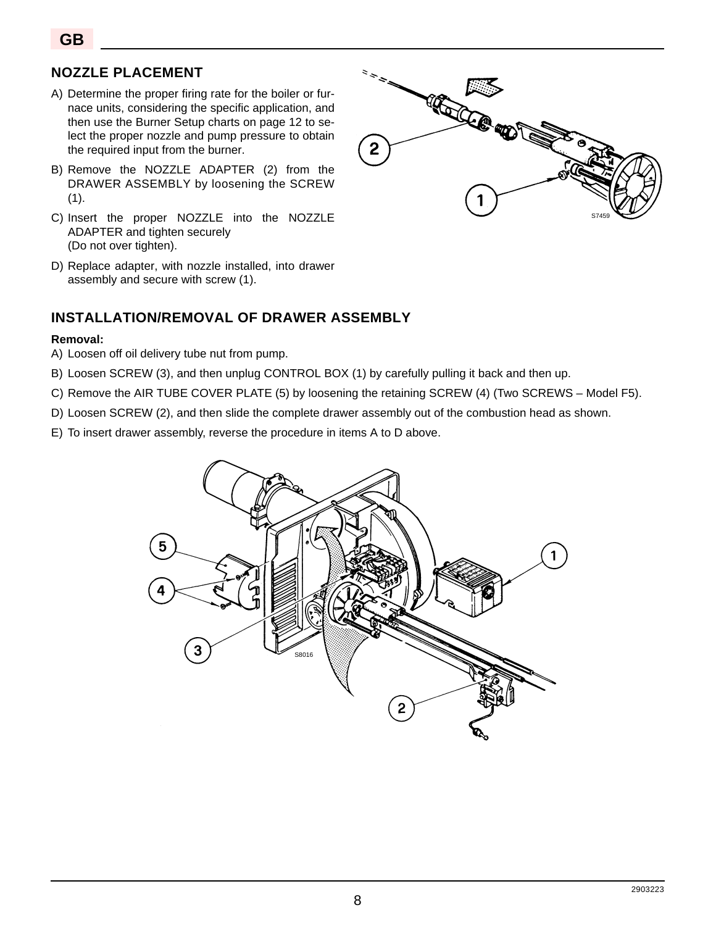## **NOZZLE PLACEMENT**

- A) Determine the proper firing rate for the boiler or furnace units, considering the specific application, and then use the Burner Setup charts on page 12 to select the proper nozzle and pump pressure to obtain the required input from the burner.
- B) Remove the NOZZLE ADAPTER (2) from the DRAWER ASSEMBLY by loosening the SCREW  $(1).$
- C) Insert the proper NOZZLE into the NOZZLE ADAPTER and tighten securely (Do not over tighten).
- D) Replace adapter, with nozzle installed, into drawer assembly and secure with screw (1).

#### **INSTALLATION/REMOVAL OF DRAWER ASSEMBLY**

#### **Removal:**

- A) Loosen off oil delivery tube nut from pump.
- B) Loosen SCREW (3), and then unplug CONTROL BOX (1) by carefully pulling it back and then up.
- C) Remove the AIR TUBE COVER PLATE (5) by loosening the retaining SCREW (4) (Two SCREWS Model F5).
- D) Loosen SCREW (2), and then slide the complete drawer assembly out of the combustion head as shown.
- E) To insert drawer assembly, reverse the procedure in items A to D above.



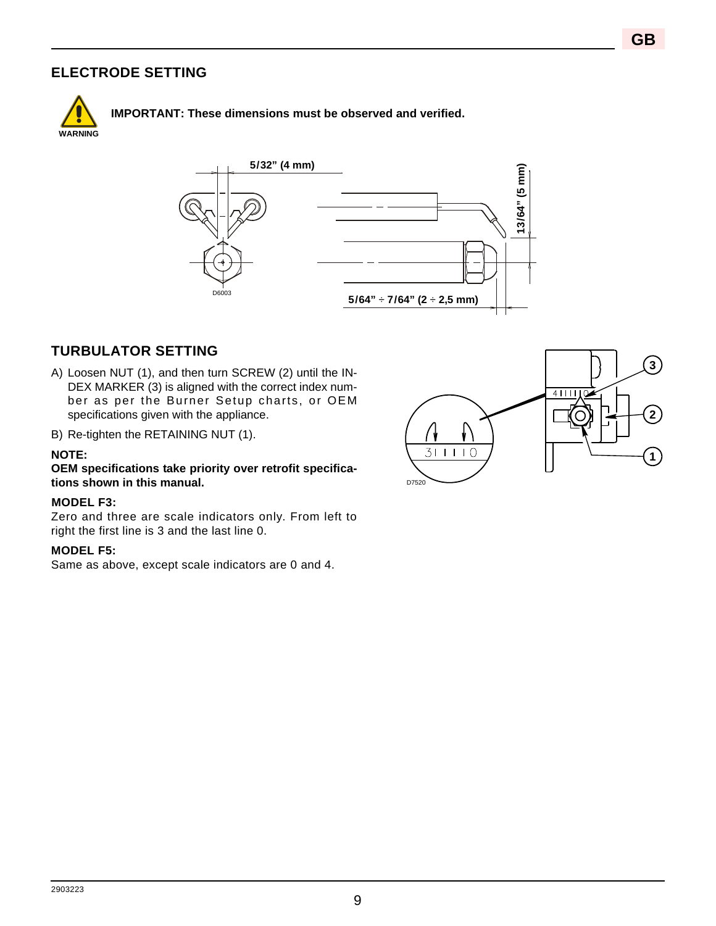## **ELECTRODE SETTING**



**IMPORTANT: These dimensions must be observed and verified.** 



### **TURBULATOR SETTING**

- A) Loosen NUT (1), and then turn SCREW (2) until the IN-DEX MARKER (3) is aligned with the correct index number as per the Burner Setup charts, or OEM specifications given with the appliance.
- B) Re-tighten the RETAINING NUT (1).

#### **NOTE:**

**OEM specifications take priority over retrofit specifications shown in this manual.**

#### **MODEL F3:**

Zero and three are scale indicators only. From left to right the first line is 3 and the last line 0.

#### **MODEL F5:**

Same as above, except scale indicators are 0 and 4.

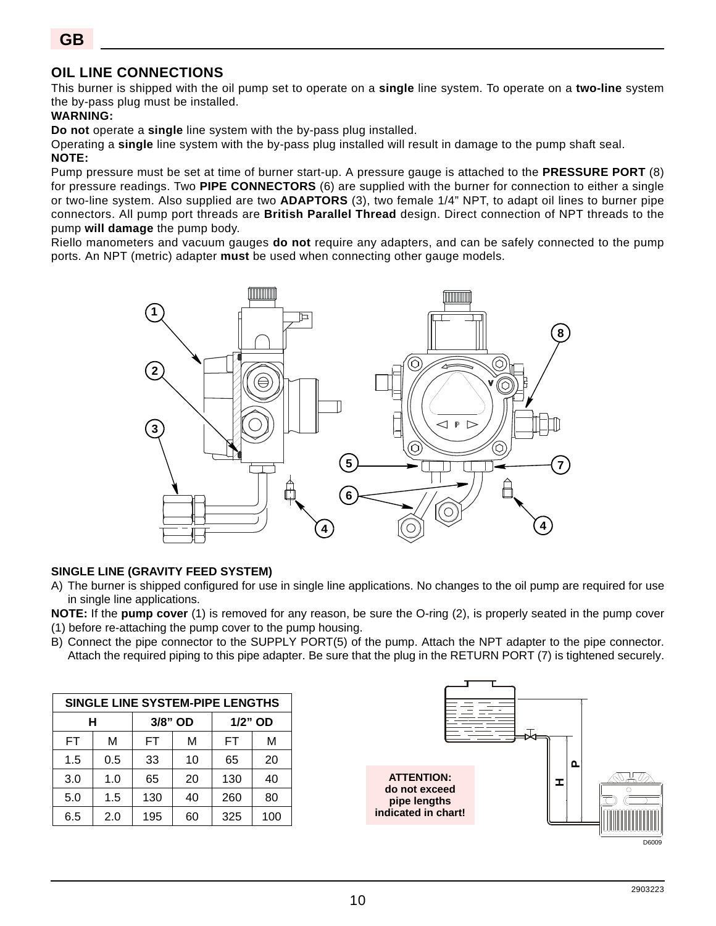## **OIL LINE CONNECTIONS**

This burner is shipped with the oil pump set to operate on a **single** line system. To operate on a **two-line** system the by-pass plug must be installed.

#### **WARNING:**

**Do not** operate a **single** line system with the by-pass plug installed.

Operating a **single** line system with the by-pass plug installed will result in damage to the pump shaft seal.

#### **NOTE:**

Pump pressure must be set at time of burner start-up. A pressure gauge is attached to the **PRESSURE PORT** (8) for pressure readings. Two **PIPE CONNECTORS** (6) are supplied with the burner for connection to either a single or two-line system. Also supplied are two **ADAPTORS** (3), two female 1/4" NPT, to adapt oil lines to burner pipe connectors. All pump port threads are **British Parallel Thread** design. Direct connection of NPT threads to the pump **will damage** the pump body.

Riello manometers and vacuum gauges **do not** require any adapters, and can be safely connected to the pump ports. An NPT (metric) adapter **must** be used when connecting other gauge models.



#### **SINGLE LINE (GRAVITY FEED SYSTEM)**

- A) The burner is shipped configured for use in single line applications. No changes to the oil pump are required for use in single line applications.
- **NOTE:** If the **pump cover** (1) is removed for any reason, be sure the O-ring (2), is properly seated in the pump cover (1) before re-attaching the pump cover to the pump housing.
- B) Connect the pipe connector to the SUPPLY PORT(5) of the pump. Attach the NPT adapter to the pipe connector. Attach the required piping to this pipe adapter. Be sure that the plug in the RETURN PORT (7) is tightened securely.

| SINGLE LINE SYSTEM-PIPE LENGTHS |     |         |    |         |     |  |  |  |  |
|---------------------------------|-----|---------|----|---------|-----|--|--|--|--|
| н                               |     | 3/8" OD |    | 1/2" OD |     |  |  |  |  |
| <b>FT</b>                       | M   | FT      | м  | FT      | м   |  |  |  |  |
| 1.5                             | 0.5 | 33      | 10 | 65      | 20  |  |  |  |  |
| 3.0                             | 1.0 | 65      | 20 | 130     | 40  |  |  |  |  |
| 5.0                             | 1.5 | 130     | 40 | 260     | 80  |  |  |  |  |
| 6.5                             | 2.0 | 195     | 60 | 325     | 100 |  |  |  |  |

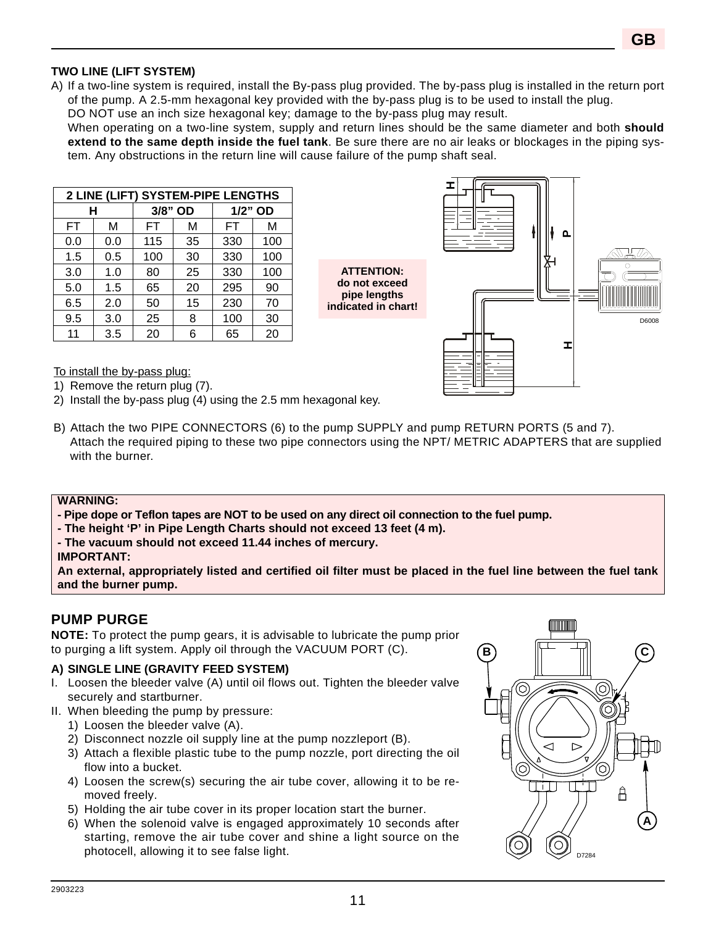#### **TWO LINE (LIFT SYSTEM)**

A) If a two-line system is required, install the By-pass plug provided. The by-pass plug is installed in the return port of the pump. A 2.5-mm hexagonal key provided with the by-pass plug is to be used to install the plug.

DO NOT use an inch size hexagonal key; damage to the by-pass plug may result.

When operating on a two-line system, supply and return lines should be the same diameter and both **should extend to the same depth inside the fuel tank**. Be sure there are no air leaks or blockages in the piping system. Any obstructions in the return line will cause failure of the pump shaft seal.

| 2 LINE (LIFT) SYSTEM-PIPE LENGTHS |     |         |    |         |     |  |  |  |  |
|-----------------------------------|-----|---------|----|---------|-----|--|--|--|--|
|                                   | н   | 3/8" OD |    | 1/2" OD |     |  |  |  |  |
| FT                                | м   | FT      | м  | FТ      | М   |  |  |  |  |
| 0.0                               | 0.0 | 115     | 35 | 330     | 100 |  |  |  |  |
| 1.5                               | 0.5 | 100     | 30 | 330     | 100 |  |  |  |  |
| 3.0                               | 1.0 | 80      | 25 | 330     | 100 |  |  |  |  |
| 5.0                               | 1.5 | 65      | 20 | 295     | 90  |  |  |  |  |
| 6.5                               | 2.0 | 50      | 15 | 230     | 70  |  |  |  |  |
| 9.5                               | 3.0 | 25      | 8  | 100     | 30  |  |  |  |  |
| 11                                | 3.5 | 20      | հ  | 65      | 20  |  |  |  |  |

**ATTENTION: do not exceed pipe lengths indicated in chart!**



To install the by-pass plug:

1) Remove the return plug (7).

- 2) Install the by-pass plug (4) using the 2.5 mm hexagonal key.
- B) Attach the two PIPE CONNECTORS (6) to the pump SUPPLY and pump RETURN PORTS (5 and 7). Attach the required piping to these two pipe connectors using the NPT/ METRIC ADAPTERS that are supplied with the burner.

#### **WARNING:**

**- Pipe dope or Teflon tapes are NOT to be used on any direct oil connection to the fuel pump.**

- **The height 'P' in Pipe Length Charts should not exceed 13 feet (4 m).**
- **The vacuum should not exceed 11.44 inches of mercury.**
- **IMPORTANT:**

**An external, appropriately listed and certified oil filter must be placed in the fuel line between the fuel tank and the burner pump.**

### **PUMP PURGE**

**NOTE:** To protect the pump gears, it is advisable to lubricate the pump prior to purging a lift system. Apply oil through the VACUUM PORT (C).

#### **A) SINGLE LINE (GRAVITY FEED SYSTEM)**

- I. Loosen the bleeder valve (A) until oil flows out. Tighten the bleeder valve securely and startburner.
- II. When bleeding the pump by pressure:
	- 1) Loosen the bleeder valve (A).
	- 2) Disconnect nozzle oil supply line at the pump nozzleport (B).
	- 3) Attach a flexible plastic tube to the pump nozzle, port directing the oil flow into a bucket.
	- 4) Loosen the screw(s) securing the air tube cover, allowing it to be removed freely.
	- 5) Holding the air tube cover in its proper location start the burner.
	- 6) When the solenoid valve is engaged approximately 10 seconds after starting, remove the air tube cover and shine a light source on the photocell, allowing it to see false light.

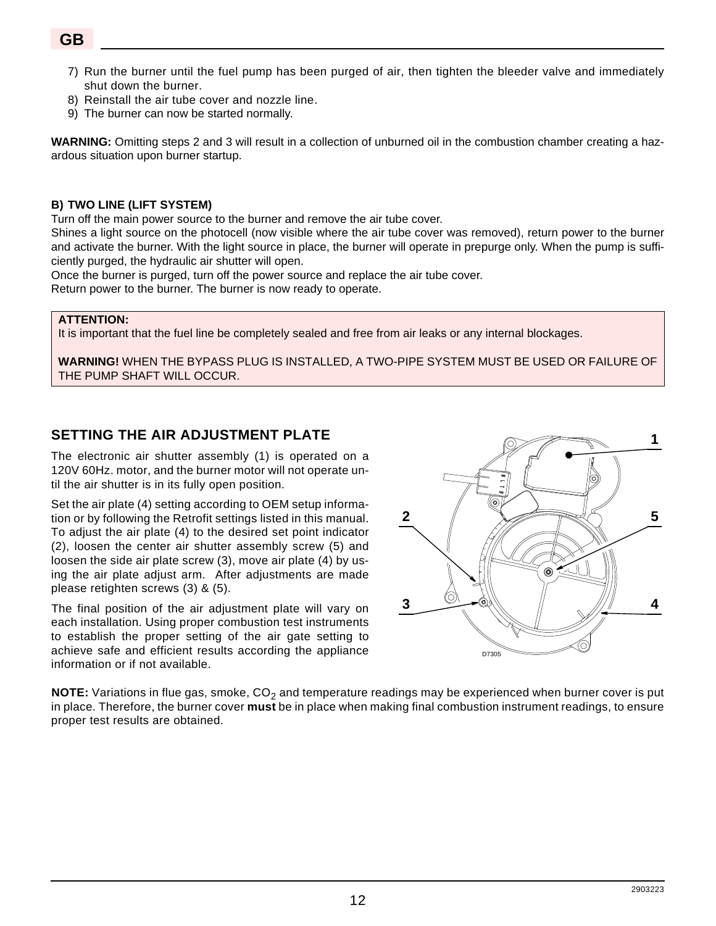- 7) Run the burner until the fuel pump has been purged of air, then tighten the bleeder valve and immediately shut down the burner.
- 8) Reinstall the air tube cover and nozzle line.
- 9) The burner can now be started normally.

**WARNING:** Omitting steps 2 and 3 will result in a collection of unburned oil in the combustion chamber creating a hazardous situation upon burner startup.

#### **B) TWO LINE (LIFT SYSTEM)**

Turn off the main power source to the burner and remove the air tube cover.

Shines a light source on the photocell (now visible where the air tube cover was removed), return power to the burner and activate the burner. With the light source in place, the burner will operate in prepurge only. When the pump is sufficiently purged, the hydraulic air shutter will open.

Once the burner is purged, turn off the power source and replace the air tube cover.

Return power to the burner. The burner is now ready to operate.

#### **ATTENTION:**

It is important that the fuel line be completely sealed and free from air leaks or any internal blockages.

**WARNING!** WHEN THE BYPASS PLUG IS INSTALLED, A TWO-PIPE SYSTEM MUST BE USED OR FAILURE OF THE PUMP SHAFT WILL OCCUR.

## **SETTING THE AIR ADJUSTMENT PLATE**

The electronic air shutter assembly (1) is operated on a 120V 60Hz. motor, and the burner motor will not operate until the air shutter is in its fully open position.

Set the air plate (4) setting according to OEM setup information or by following the Retrofit settings listed in this manual. To adjust the air plate (4) to the desired set point indicator (2), loosen the center air shutter assembly screw (5) and loosen the side air plate screw (3), move air plate (4) by using the air plate adjust arm. After adjustments are made please retighten screws (3) & (5).

The final position of the air adjustment plate will vary on each installation. Using proper combustion test instruments to establish the proper setting of the air gate setting to achieve safe and efficient results according the appliance information or if not available.



**NOTE:** Variations in flue gas, smoke, CO<sub>2</sub> and temperature readings may be experienced when burner cover is put in place. Therefore, the burner cover **must** be in place when making final combustion instrument readings, to ensure proper test results are obtained.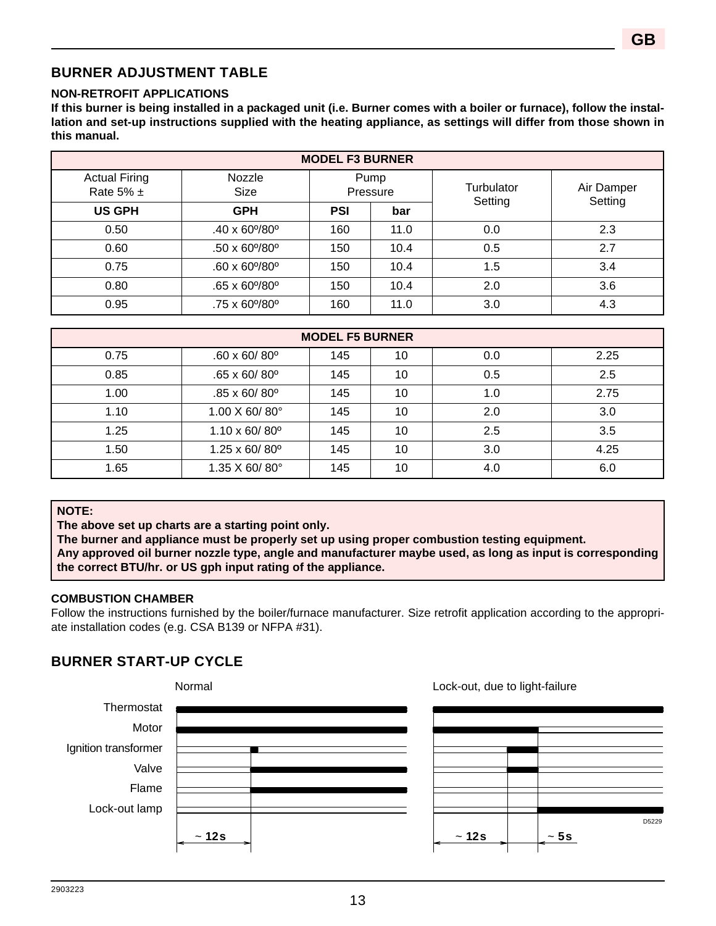## **BURNER ADJUSTMENT TABLE**

#### **NON-RETROFIT APPLICATIONS**

**If this burner is being installed in a packaged unit (i.e. Burner comes with a boiler or furnace), follow the installation and set-up instructions supplied with the heating appliance, as settings will differ from those shown in this manual.**

| <b>MODEL F3 BURNER</b>                |                   |            |                  |            |            |  |  |  |  |  |
|---------------------------------------|-------------------|------------|------------------|------------|------------|--|--|--|--|--|
| <b>Actual Firing</b><br>Rate 5% $\pm$ | Nozzle<br>Size    |            | Pump<br>Pressure | Turbulator | Air Damper |  |  |  |  |  |
| <b>US GPH</b>                         | <b>GPH</b>        | <b>PSI</b> | bar              | Setting    | Setting    |  |  |  |  |  |
| 0.50                                  | $.40 \times 60\%$ | 160        | 11.0             | 0.0        | 2.3        |  |  |  |  |  |
| 0.60                                  | $.50 \times 60\%$ | 150        | 10.4             | 0.5        | 2.7        |  |  |  |  |  |
| 0.75                                  | $.60 \times 60\%$ | 150        | 10.4             | 1.5        | 3.4        |  |  |  |  |  |
| 0.80                                  | $.65 \times 60\%$ | 150        | 10.4             | 2.0        | 3.6        |  |  |  |  |  |
| 0.95                                  | .75 x 60%80°      | 160        | 11.0             | 3.0        | 4.3        |  |  |  |  |  |

| <b>MODEL F5 BURNER</b> |                                 |     |    |     |      |  |  |  |  |  |
|------------------------|---------------------------------|-----|----|-----|------|--|--|--|--|--|
| 0.75                   | $.60 \times 60/80$ <sup>o</sup> | 145 | 10 | 0.0 | 2.25 |  |  |  |  |  |
| 0.85                   | $.65 \times 60/80$ <sup>o</sup> | 145 | 10 | 0.5 | 2.5  |  |  |  |  |  |
| 1.00                   | $.85 \times 60/80$ <sup>o</sup> | 145 | 10 | 1.0 | 2.75 |  |  |  |  |  |
| 1.10                   | $1.00 \times 60 / 80^{\circ}$   | 145 | 10 | 2.0 | 3.0  |  |  |  |  |  |
| 1.25                   | $1.10 \times 60 / 80^{\circ}$   | 145 | 10 | 2.5 | 3.5  |  |  |  |  |  |
| 1.50                   | $1.25 \times 60 / 80^{\circ}$   | 145 | 10 | 3.0 | 4.25 |  |  |  |  |  |
| 1.65                   | $1.35$ X 60/80 $^{\circ}$       | 145 | 10 | 4.0 | 6.0  |  |  |  |  |  |

### **NOTE:**

**The above set up charts are a starting point only.** 

**The burner and appliance must be properly set up using proper combustion testing equipment. Any approved oil burner nozzle type, angle and manufacturer maybe used, as long as input is corresponding the correct BTU/hr. or US gph input rating of the appliance.**

#### **COMBUSTION CHAMBER**

Follow the instructions furnished by the boiler/furnace manufacturer. Size retrofit application according to the appropriate installation codes (e.g. CSA B139 or NFPA #31).

## **BURNER START-UP CYCLE**



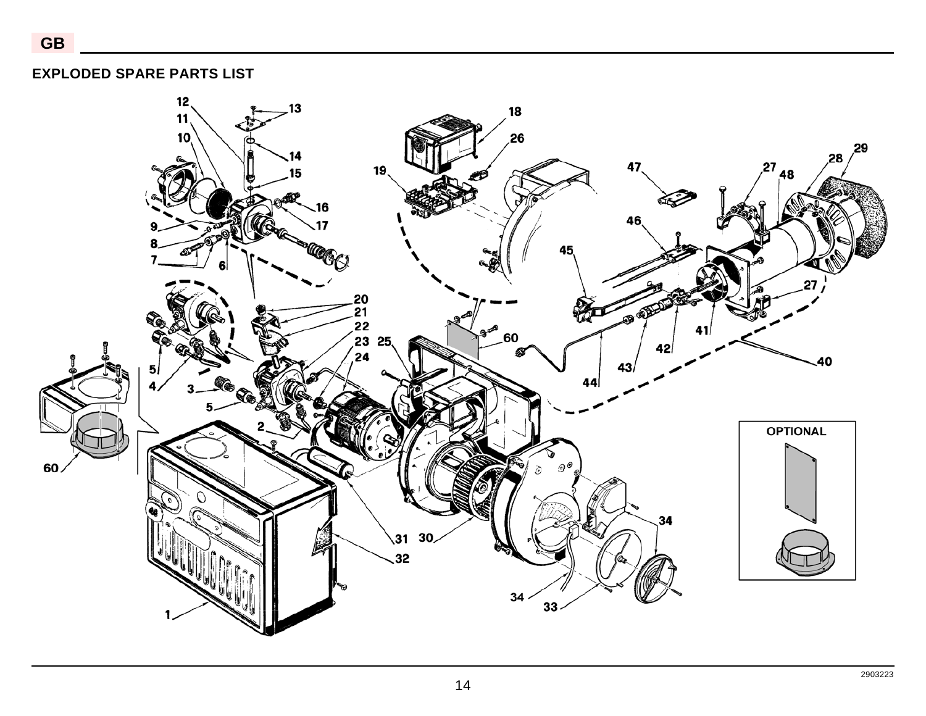**GB**



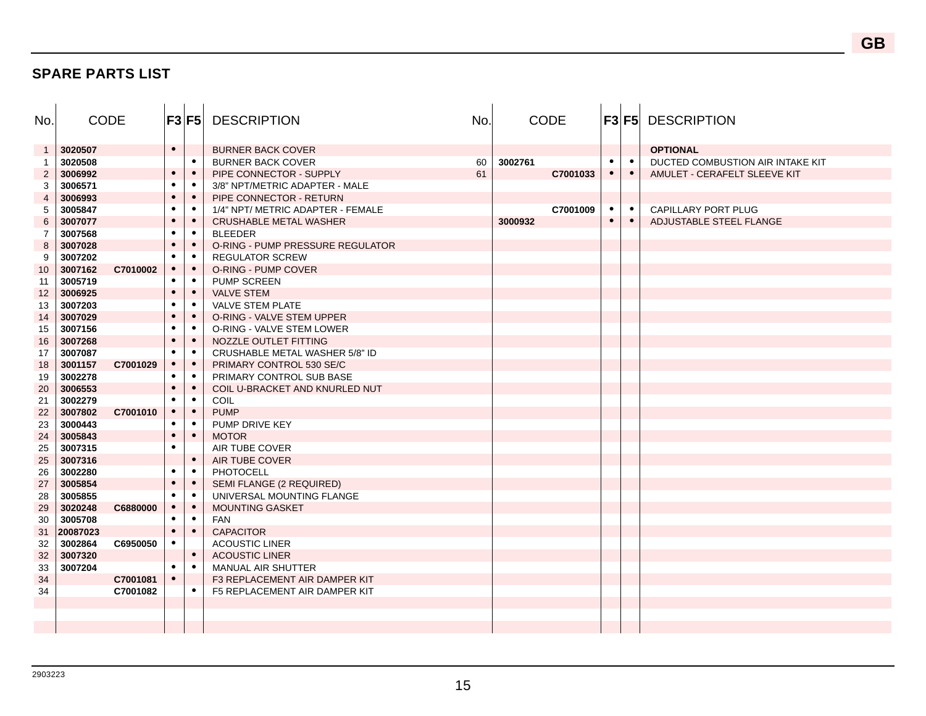#### **SPARE PARTS LIST**

| No.            | <b>CODE</b> |          | F3 F5     |           | <b>DESCRIPTION</b>                | No. |         | <b>CODE</b> |           |           | <b>F3 F5 DESCRIPTION</b>         |
|----------------|-------------|----------|-----------|-----------|-----------------------------------|-----|---------|-------------|-----------|-----------|----------------------------------|
| $\mathbf{1}$   | 3020507     |          | $\bullet$ |           | <b>BURNER BACK COVER</b>          |     |         |             |           |           | <b>OPTIONAL</b>                  |
| -1             | 3020508     |          |           | $\bullet$ | <b>BURNER BACK COVER</b>          | 60  | 3002761 |             | $\bullet$ | $\bullet$ | DUCTED COMBUSTION AIR INTAKE KIT |
| $\overline{2}$ | 3006992     |          | $\bullet$ | $\bullet$ | PIPE CONNECTOR - SUPPLY           | 61  |         | C7001033    | $\bullet$ | $\bullet$ | AMULET - CERAFELT SLEEVE KIT     |
| 3              | 3006571     |          | $\bullet$ | $\bullet$ | 3/8" NPT/METRIC ADAPTER - MALE    |     |         |             |           |           |                                  |
| $\overline{4}$ | 3006993     |          | $\bullet$ | $\bullet$ | PIPE CONNECTOR - RETURN           |     |         |             |           |           |                                  |
| 5              | 3005847     |          | ٠         | $\bullet$ | 1/4" NPT/ METRIC ADAPTER - FEMALE |     |         | C7001009    | $\bullet$ | $\bullet$ | CAPILLARY PORT PLUG              |
| 6              | 3007077     |          | $\bullet$ | $\bullet$ | <b>CRUSHABLE METAL WASHER</b>     |     | 3000932 |             | $\bullet$ | $\bullet$ | ADJUSTABLE STEEL FLANGE          |
| 7              | 3007568     |          | $\bullet$ | $\bullet$ | <b>BLEEDER</b>                    |     |         |             |           |           |                                  |
| 8              | 3007028     |          | $\bullet$ | $\bullet$ | O-RING - PUMP PRESSURE REGULATOR  |     |         |             |           |           |                                  |
| 9              | 3007202     |          | $\bullet$ | $\bullet$ | <b>REGULATOR SCREW</b>            |     |         |             |           |           |                                  |
| 10             | 3007162     | C7010002 | $\bullet$ | $\bullet$ | O-RING - PUMP COVER               |     |         |             |           |           |                                  |
| 11             | 3005719     |          | $\bullet$ | $\bullet$ | PUMP SCREEN                       |     |         |             |           |           |                                  |
| 12             | 3006925     |          |           | $\bullet$ | <b>VALVE STEM</b>                 |     |         |             |           |           |                                  |
| 13             | 3007203     |          |           | $\bullet$ | <b>VALVE STEM PLATE</b>           |     |         |             |           |           |                                  |
| 14             | 3007029     |          | $\bullet$ | $\bullet$ | O-RING - VALVE STEM UPPER         |     |         |             |           |           |                                  |
| 15             | 3007156     |          | $\bullet$ | $\bullet$ | O-RING - VALVE STEM LOWER         |     |         |             |           |           |                                  |
| 16             | 3007268     |          | $\bullet$ | $\bullet$ | NOZZLE OUTLET FITTING             |     |         |             |           |           |                                  |
| 17             | 3007087     |          | $\bullet$ | $\bullet$ | CRUSHABLE METAL WASHER 5/8" ID    |     |         |             |           |           |                                  |
| 18             | 3001157     | C7001029 | $\bullet$ | $\bullet$ | PRIMARY CONTROL 530 SE/C          |     |         |             |           |           |                                  |
| 19             | 3002278     |          | $\bullet$ | $\bullet$ | PRIMARY CONTROL SUB BASE          |     |         |             |           |           |                                  |
| 20             | 3006553     |          | $\bullet$ | $\bullet$ | COIL U-BRACKET AND KNURLED NUT    |     |         |             |           |           |                                  |
| 21             | 3002279     |          |           | $\bullet$ | <b>COIL</b>                       |     |         |             |           |           |                                  |
| 22             | 3007802     | C7001010 | $\bullet$ | $\bullet$ | <b>PUMP</b>                       |     |         |             |           |           |                                  |
| 23             | 3000443     |          | $\bullet$ | $\bullet$ | PUMP DRIVE KEY                    |     |         |             |           |           |                                  |
| 24             | 3005843     |          | $\bullet$ | $\bullet$ | <b>MOTOR</b>                      |     |         |             |           |           |                                  |
| 25             | 3007315     |          | $\bullet$ |           | AIR TUBE COVER                    |     |         |             |           |           |                                  |
| 25             | 3007316     |          |           | $\bullet$ | AIR TUBE COVER                    |     |         |             |           |           |                                  |
| 26             | 3002280     |          | $\bullet$ | $\bullet$ | <b>PHOTOCELL</b>                  |     |         |             |           |           |                                  |
| 27             | 3005854     |          | $\bullet$ | $\bullet$ | SEMI FLANGE (2 REQUIRED)          |     |         |             |           |           |                                  |
| 28             | 3005855     |          |           | $\bullet$ | UNIVERSAL MOUNTING FLANGE         |     |         |             |           |           |                                  |
| 29             | 3020248     | C6880000 |           | $\bullet$ | <b>MOUNTING GASKET</b>            |     |         |             |           |           |                                  |
| 30             | 3005708     |          | $\bullet$ | $\bullet$ | <b>FAN</b>                        |     |         |             |           |           |                                  |
| 31             | 20087023    |          | $\bullet$ | $\bullet$ | <b>CAPACITOR</b>                  |     |         |             |           |           |                                  |
| 32             | 3002864     | C6950050 |           |           | <b>ACOUSTIC LINER</b>             |     |         |             |           |           |                                  |
| 32             | 3007320     |          |           | $\bullet$ | <b>ACOUSTIC LINER</b>             |     |         |             |           |           |                                  |
| 33             | 3007204     |          | $\bullet$ | $\bullet$ | MANUAL AIR SHUTTER                |     |         |             |           |           |                                  |
| 34             |             | C7001081 | $\bullet$ |           | F3 REPLACEMENT AIR DAMPER KIT     |     |         |             |           |           |                                  |
| 34             |             | C7001082 |           | $\bullet$ | F5 REPLACEMENT AIR DAMPER KIT     |     |         |             |           |           |                                  |
|                |             |          |           |           |                                   |     |         |             |           |           |                                  |
|                |             |          |           |           |                                   |     |         |             |           |           |                                  |
|                |             |          |           |           |                                   |     |         |             |           |           |                                  |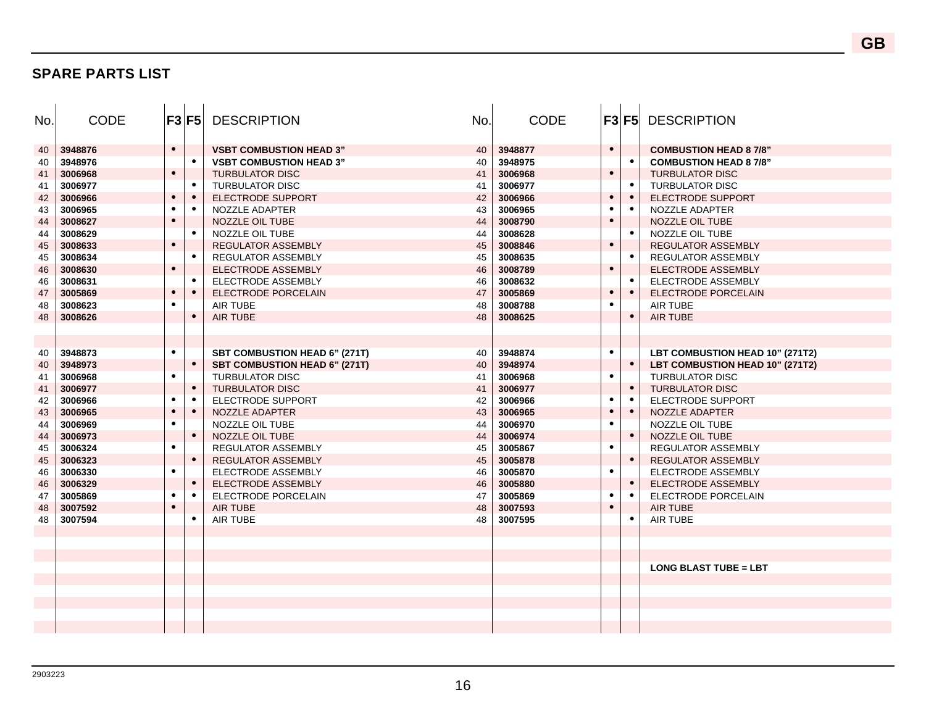#### **SPARE PARTS LIST**

| No. | <b>CODE</b> | F3 F5     |           | <b>DESCRIPTION</b>                   | No. | <b>CODE</b> |           |           | <b>F3 F5 DESCRIPTION</b>        |
|-----|-------------|-----------|-----------|--------------------------------------|-----|-------------|-----------|-----------|---------------------------------|
| 40  | 3948876     | $\bullet$ |           | <b>VSBT COMBUSTION HEAD 3"</b>       | 40  | 3948877     | $\bullet$ |           | <b>COMBUSTION HEAD 8 7/8"</b>   |
| 40  | 3948976     |           | $\bullet$ | <b>VSBT COMBUSTION HEAD 3"</b>       | 40  | 3948975     |           | $\bullet$ | <b>COMBUSTION HEAD 87/8"</b>    |
| 41  | 3006968     | $\bullet$ |           | <b>TURBULATOR DISC</b>               | 41  | 3006968     | $\bullet$ |           | <b>TURBULATOR DISC</b>          |
| 41  | 3006977     |           | $\bullet$ | <b>TURBULATOR DISC</b>               | 41  | 3006977     |           | $\bullet$ | <b>TURBULATOR DISC</b>          |
| 42  | 3006966     | $\bullet$ | $\bullet$ | ELECTRODE SUPPORT                    | 42  | 3006966     | $\bullet$ | $\bullet$ | <b>ELECTRODE SUPPORT</b>        |
| 43  | 3006965     | ٠         | $\bullet$ | NOZZLE ADAPTER                       | 43  | 3006965     | $\bullet$ | $\bullet$ | NOZZLE ADAPTER                  |
| 44  | 3008627     | $\bullet$ |           | NOZZLE OIL TUBE                      | 44  | 3008790     | $\bullet$ |           | NOZZLE OIL TUBE                 |
| 44  | 3008629     |           | $\bullet$ | NOZZLE OIL TUBE                      | 44  | 3008628     |           |           | NOZZLE OIL TUBE                 |
| 45  | 3008633     | $\bullet$ |           | <b>REGULATOR ASSEMBLY</b>            | 45  | 3008846     | $\bullet$ |           | <b>REGULATOR ASSEMBLY</b>       |
| 45  | 3008634     |           | $\bullet$ | REGULATOR ASSEMBLY                   | 45  | 3008635     |           | $\bullet$ | <b>REGULATOR ASSEMBLY</b>       |
| 46  | 3008630     | $\bullet$ |           | <b>ELECTRODE ASSEMBLY</b>            | 46  | 3008789     | $\bullet$ |           | <b>ELECTRODE ASSEMBLY</b>       |
| 46  | 3008631     |           | $\bullet$ | ELECTRODE ASSEMBLY                   | 46  | 3008632     |           | $\bullet$ | ELECTRODE ASSEMBLY              |
| 47  | 3005869     | $\bullet$ | $\bullet$ | <b>ELECTRODE PORCELAIN</b>           | 47  | 3005869     | $\bullet$ | $\bullet$ | ELECTRODE PORCELAIN             |
| 48  | 3008623     |           |           | AIR TUBE                             | 48  | 3008788     | $\bullet$ |           | <b>AIR TUBE</b>                 |
| 48  | 3008626     |           | $\bullet$ | <b>AIR TUBE</b>                      | 48  | 3008625     |           | $\bullet$ | <b>AIR TUBE</b>                 |
|     |             |           |           |                                      |     |             |           |           |                                 |
|     |             |           |           |                                      |     |             |           |           |                                 |
| 40  | 3948873     | $\bullet$ |           | <b>SBT COMBUSTION HEAD 6" (271T)</b> | 40  | 3948874     | $\bullet$ |           | LBT COMBUSTION HEAD 10" (271T2) |
| 40  | 3948973     |           | $\bullet$ | <b>SBT COMBUSTION HEAD 6" (271T)</b> | 40  | 3948974     |           | $\bullet$ | LBT COMBUSTION HEAD 10" (271T2) |
| 41  | 3006968     | $\bullet$ |           | <b>TURBULATOR DISC</b>               | 41  | 3006968     | $\bullet$ |           | <b>TURBULATOR DISC</b>          |
| 41  | 3006977     |           | $\bullet$ | <b>TURBULATOR DISC</b>               | 41  | 3006977     |           | $\bullet$ | <b>TURBULATOR DISC</b>          |
| 42  | 3006966     | $\bullet$ | $\bullet$ | ELECTRODE SUPPORT                    | 42  | 3006966     | $\bullet$ |           | ELECTRODE SUPPORT               |
| 43  | 3006965     |           | $\bullet$ | NOZZLE ADAPTER                       | 43  | 3006965     | $\bullet$ | $\bullet$ | NOZZLE ADAPTER                  |
| 44  | 3006969     | $\bullet$ |           | NOZZLE OIL TUBE                      | 44  | 3006970     | $\bullet$ |           | NOZZLE OIL TUBE                 |
| 44  | 3006973     |           | $\bullet$ | NOZZLE OIL TUBE                      | 44  | 3006974     |           | $\bullet$ | NOZZLE OIL TUBE                 |
| 45  | 3006324     | $\bullet$ |           | REGULATOR ASSEMBLY                   | 45  | 3005867     | $\bullet$ |           | REGULATOR ASSEMBLY              |
| 45  | 3006323     |           | $\bullet$ | <b>REGULATOR ASSEMBLY</b>            | 45  | 3005878     |           | $\bullet$ | <b>REGULATOR ASSEMBLY</b>       |
| 46  | 3006330     | $\bullet$ |           | ELECTRODE ASSEMBLY                   | 46  | 3005870     | $\bullet$ |           | ELECTRODE ASSEMBLY              |
| 46  | 3006329     |           | $\bullet$ | <b>ELECTRODE ASSEMBLY</b>            | 46  | 3005880     |           | $\bullet$ | <b>ELECTRODE ASSEMBLY</b>       |
| 47  | 3005869     | $\bullet$ | $\bullet$ | ELECTRODE PORCELAIN                  | 47  | 3005869     | $\bullet$ | $\bullet$ | ELECTRODE PORCELAIN             |
| 48  | 3007592     | $\bullet$ |           | <b>AIR TUBE</b>                      | 48  | 3007593     | $\bullet$ |           | <b>AIR TUBE</b>                 |
| 48  | 3007594     |           | $\bullet$ | <b>AIR TUBE</b>                      | 48  | 3007595     |           |           | <b>AIR TUBE</b>                 |
|     |             |           |           |                                      |     |             |           |           |                                 |
|     |             |           |           |                                      |     |             |           |           |                                 |
|     |             |           |           |                                      |     |             |           |           |                                 |
|     |             |           |           |                                      |     |             |           |           | <b>LONG BLAST TUBE = LBT</b>    |
|     |             |           |           |                                      |     |             |           |           |                                 |
|     |             |           |           |                                      |     |             |           |           |                                 |
|     |             |           |           |                                      |     |             |           |           |                                 |
|     |             |           |           |                                      |     |             |           |           |                                 |
|     |             |           |           |                                      |     |             |           |           |                                 |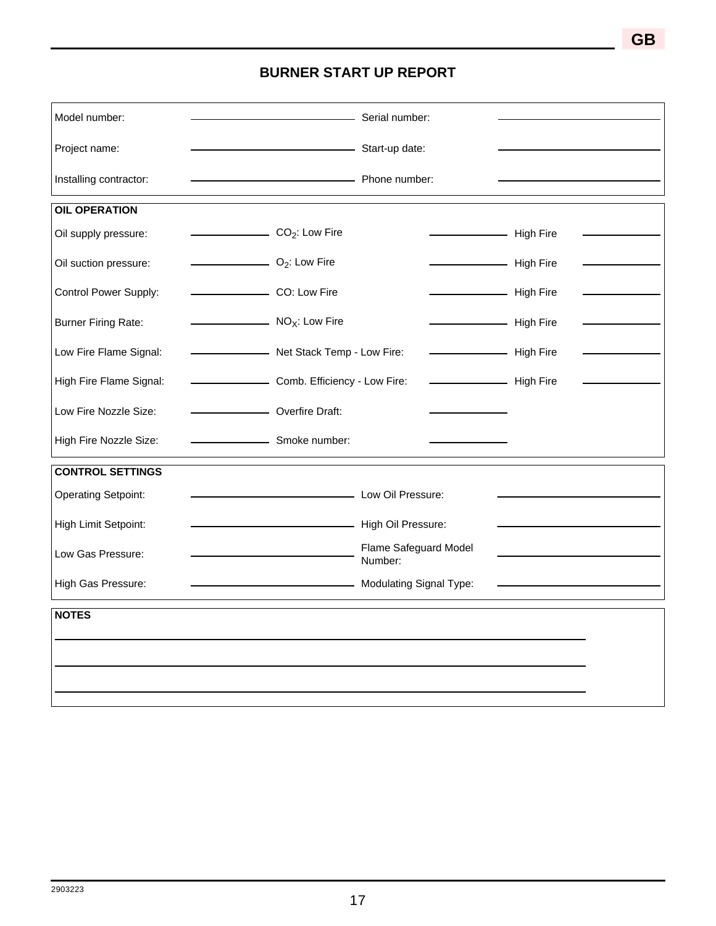## **BURNER START UP REPORT**

| Model number:              |                                                     | - Serial number:                 |           |  |  |  |  |  |
|----------------------------|-----------------------------------------------------|----------------------------------|-----------|--|--|--|--|--|
| Project name:              | Start-up date:                                      |                                  |           |  |  |  |  |  |
| Installing contractor:     | Phone number:                                       |                                  |           |  |  |  |  |  |
| <b>OIL OPERATION</b>       |                                                     |                                  |           |  |  |  |  |  |
| Oil supply pressure:       | $\overline{CO_2}$ : Low Fire                        |                                  | High Fire |  |  |  |  |  |
| Oil suction pressure:      | $\overline{\phantom{a}}$ O <sub>2</sub> : Low Fire  |                                  | High Fire |  |  |  |  |  |
| Control Power Supply:      | CO: Low Fire                                        |                                  | High Fire |  |  |  |  |  |
| <b>Burner Firing Rate:</b> | $\overline{\phantom{a}}$ NO <sub>X</sub> : Low Fire |                                  | High Fire |  |  |  |  |  |
| Low Fire Flame Signal:     | Net Stack Temp - Low Fire:                          |                                  | High Fire |  |  |  |  |  |
| High Fire Flame Signal:    | Comb. Efficiency - Low Fire:                        |                                  | High Fire |  |  |  |  |  |
| Low Fire Nozzle Size:      | Overfire Draft:                                     |                                  |           |  |  |  |  |  |
| High Fire Nozzle Size:     | Smoke number:                                       |                                  |           |  |  |  |  |  |
| <b>CONTROL SETTINGS</b>    |                                                     |                                  |           |  |  |  |  |  |
| <b>Operating Setpoint:</b> | Low Oil Pressure:                                   |                                  |           |  |  |  |  |  |
| High Limit Setpoint:       | High Oil Pressure:                                  |                                  |           |  |  |  |  |  |
| Low Gas Pressure:          |                                                     | Flame Safeguard Model<br>Number: |           |  |  |  |  |  |
| High Gas Pressure:         | Modulating Signal Type:                             |                                  |           |  |  |  |  |  |
| <b>NOTES</b>               |                                                     |                                  |           |  |  |  |  |  |
|                            |                                                     |                                  |           |  |  |  |  |  |
|                            |                                                     |                                  |           |  |  |  |  |  |
|                            |                                                     |                                  |           |  |  |  |  |  |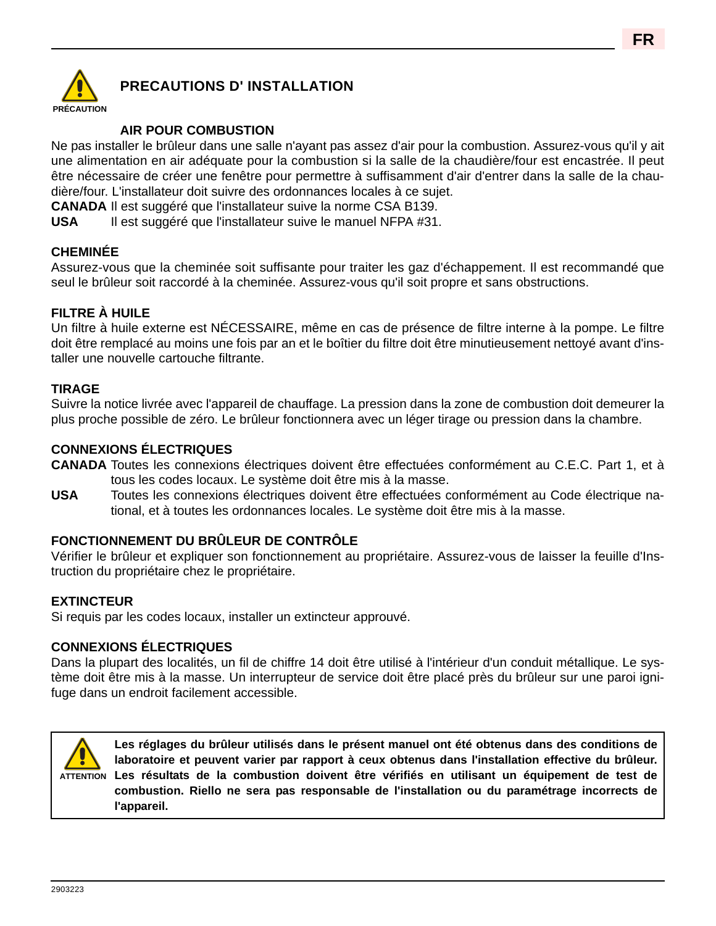

## **PRECAUTIONS D' INSTALLATION**

## **AIR POUR COMBUSTION**

Ne pas installer le brûleur dans une salle n'ayant pas assez d'air pour la combustion. Assurez-vous qu'il y ait une alimentation en air adéquate pour la combustion si la salle de la chaudière/four est encastrée. Il peut être nécessaire de créer une fenêtre pour permettre à suffisamment d'air d'entrer dans la salle de la chaudière/four. L'installateur doit suivre des ordonnances locales à ce sujet.

**CANADA** Il est suggéré que l'installateur suive la norme CSA B139.

**USA** Il est suggéré que l'installateur suive le manuel NFPA #31.

### **CHEMINÉE**

Assurez-vous que la cheminée soit suffisante pour traiter les gaz d'échappement. Il est recommandé que seul le brûleur soit raccordé à la cheminée. Assurez-vous qu'il soit propre et sans obstructions.

### **FILTRE À HUILE**

Un filtre à huile externe est NÉCESSAIRE, même en cas de présence de filtre interne à la pompe. Le filtre doit être remplacé au moins une fois par an et le boîtier du filtre doit être minutieusement nettoyé avant d'installer une nouvelle cartouche filtrante.

#### **TIRAGE**

Suivre la notice livrée avec l'appareil de chauffage. La pression dans la zone de combustion doit demeurer la plus proche possible de zéro. Le brûleur fonctionnera avec un léger tirage ou pression dans la chambre.

#### **CONNEXIONS ÉLECTRIQUES**

**CANADA** Toutes les connexions électriques doivent être effectuées conformément au C.E.C. Part 1, et à tous les codes locaux. Le système doit être mis à la masse.

**USA** Toutes les connexions électriques doivent être effectuées conformément au Code électrique national, et à toutes les ordonnances locales. Le système doit être mis à la masse.

#### **FONCTIONNEMENT DU BRÛLEUR DE CONTRÔLE**

Vérifier le brûleur et expliquer son fonctionnement au propriétaire. Assurez-vous de laisser la feuille d'Instruction du propriétaire chez le propriétaire.

#### **EXTINCTEUR**

Si requis par les codes locaux, installer un extincteur approuvé.

#### **CONNEXIONS ÉLECTRIQUES**

Dans la plupart des localités, un fil de chiffre 14 doit être utilisé à l'intérieur d'un conduit métallique. Le système doit être mis à la masse. Un interrupteur de service doit être placé près du brûleur sur une paroi ignifuge dans un endroit facilement accessible.



**Les réglages du brûleur utilisés dans le présent manuel ont été obtenus dans des conditions de laboratoire et peuvent varier par rapport à ceux obtenus dans l'installation effective du brûleur. Les résultats de la combustion doivent être vérifiés en utilisant un équipement de test de ATTENTIONcombustion. Riello ne sera pas responsable de l'installation ou du paramétrage incorrects de l'appareil.**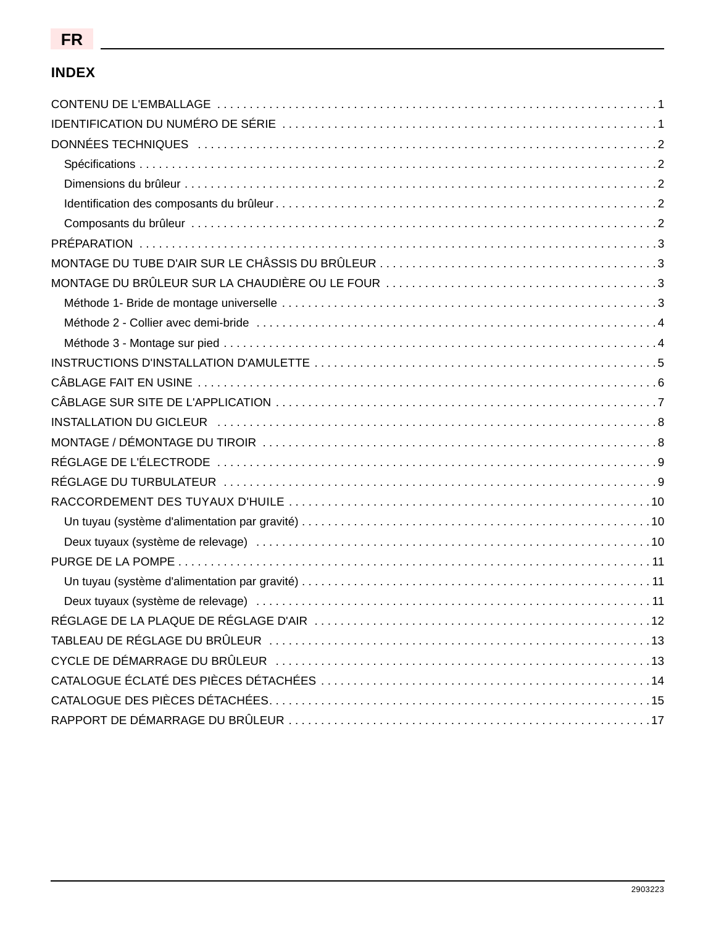## **INDEX**

| DONNÉES TECHNIQUES (and according to the control of the control of the control of the control of the control of the control of the control of the control of the control of the control of the control of the control of the c |  |
|--------------------------------------------------------------------------------------------------------------------------------------------------------------------------------------------------------------------------------|--|
|                                                                                                                                                                                                                                |  |
|                                                                                                                                                                                                                                |  |
|                                                                                                                                                                                                                                |  |
|                                                                                                                                                                                                                                |  |
|                                                                                                                                                                                                                                |  |
|                                                                                                                                                                                                                                |  |
|                                                                                                                                                                                                                                |  |
|                                                                                                                                                                                                                                |  |
|                                                                                                                                                                                                                                |  |
|                                                                                                                                                                                                                                |  |
|                                                                                                                                                                                                                                |  |
|                                                                                                                                                                                                                                |  |
|                                                                                                                                                                                                                                |  |
|                                                                                                                                                                                                                                |  |
|                                                                                                                                                                                                                                |  |
|                                                                                                                                                                                                                                |  |
|                                                                                                                                                                                                                                |  |
|                                                                                                                                                                                                                                |  |
|                                                                                                                                                                                                                                |  |
|                                                                                                                                                                                                                                |  |
|                                                                                                                                                                                                                                |  |
|                                                                                                                                                                                                                                |  |
|                                                                                                                                                                                                                                |  |
|                                                                                                                                                                                                                                |  |
|                                                                                                                                                                                                                                |  |
|                                                                                                                                                                                                                                |  |
|                                                                                                                                                                                                                                |  |
|                                                                                                                                                                                                                                |  |
|                                                                                                                                                                                                                                |  |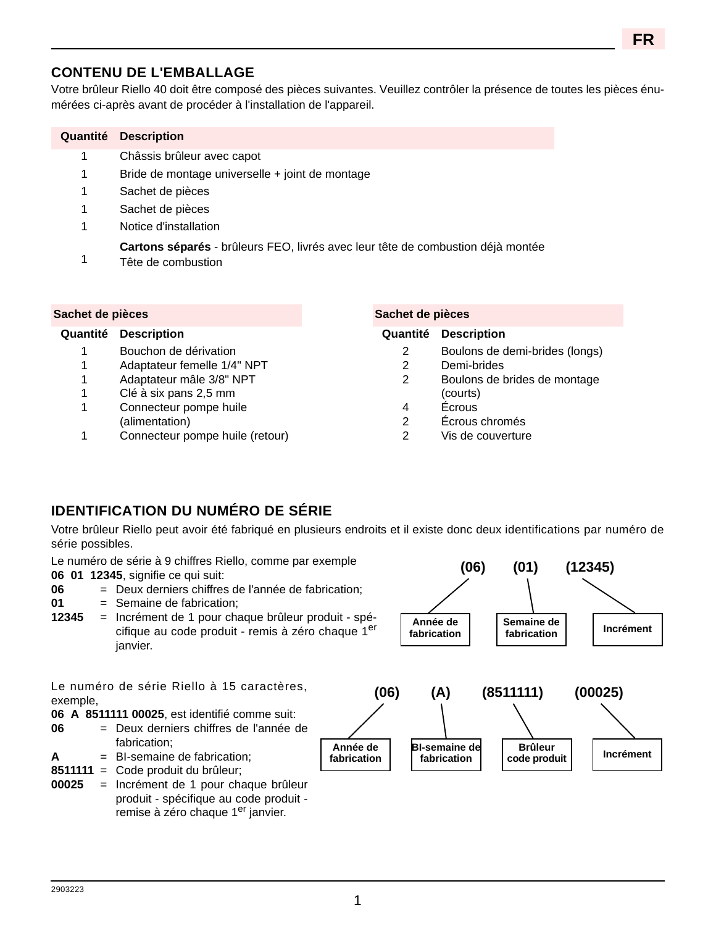## **CONTENU DE L'EMBALLAGE**

Votre brûleur Riello 40 doit être composé des pièces suivantes. Veuillez contrôler la présence de toutes les pièces énumérées ci-après avant de procéder à l'installation de l'appareil.

| Quantité         | <b>Description</b>                              |                                                                                 |  |  |  |  |  |  |  |  |  |
|------------------|-------------------------------------------------|---------------------------------------------------------------------------------|--|--|--|--|--|--|--|--|--|
| 1                | Châssis brûleur avec capot                      |                                                                                 |  |  |  |  |  |  |  |  |  |
| 1                | Bride de montage universelle + joint de montage |                                                                                 |  |  |  |  |  |  |  |  |  |
| 1                | Sachet de pièces                                |                                                                                 |  |  |  |  |  |  |  |  |  |
| 1                | Sachet de pièces                                |                                                                                 |  |  |  |  |  |  |  |  |  |
| 1                | Notice d'installation                           |                                                                                 |  |  |  |  |  |  |  |  |  |
| 1                | Tête de combustion                              | Cartons séparés - brûleurs FEO, livrés avec leur tête de combustion déjà montée |  |  |  |  |  |  |  |  |  |
| Sachet de pièces |                                                 | Sachet de pièces                                                                |  |  |  |  |  |  |  |  |  |

- 1 Bouchon de dérivation
- 1 Adaptateur femelle 1/4" NPT
- 1 Adaptateur mâle 3/8" NPT
- 1 Clé à six pans 2,5 mm
- 1 Connecteur pompe huile (alimentation)
- 1 Connecteur pompe huile (retour)

#### **Quantité Description Quantité Description**

2 Boulons de demi-brides (longs) **FR**

- 2 Demi-brides
- 2 Boulons de brides de montage (courts)
- 4 Écrous
- 2 Écrous chromés
- 2 Vis de couverture

## **IDENTIFICATION DU NUMÉRO DE SÉRIE**

Votre brûleur Riello peut avoir été fabriqué en plusieurs endroits et il existe donc deux identifications par numéro de série possibles.

| Le numéro de série à 9 chiffres Riello, comme par exemple<br>06 01 12345, signifie ce qui suit:<br>06<br>= Deux derniers chiffres de l'année de fabrication;<br>01<br>$=$ Semaine de fabrication;<br>12345<br>= Incrément de 1 pour chaque brûleur produit - spé-<br>cifique au code produit - remis à zéro chaque 1er<br>janvier.                                                                  |                                 | (06)<br>Année de<br>fabrication            | (01)<br>Semaine de<br>fabrication           | (12345)<br><b>Incrément</b> |
|-----------------------------------------------------------------------------------------------------------------------------------------------------------------------------------------------------------------------------------------------------------------------------------------------------------------------------------------------------------------------------------------------------|---------------------------------|--------------------------------------------|---------------------------------------------|-----------------------------|
| Le numéro de série Riello à 15 caractères,<br>exemple,<br>06 A 8511111 00025, est identifié comme suit:<br>06<br>= Deux derniers chiffres de l'année de<br>fabrication;<br>$=$ BI-semaine de fabrication;<br>A<br>8511111<br>= Code produit du brûleur;<br>00025<br>= Incrément de 1 pour chaque brûleur<br>produit - spécifique au code produit -<br>remise à zéro chaque 1 <sup>er</sup> janvier. | (06)<br>Année de<br>fabrication | (A)<br><b>BI-semaine de</b><br>fabrication | (8511111)<br><b>Brûleur</b><br>code produit | (00025)<br><b>Incrément</b> |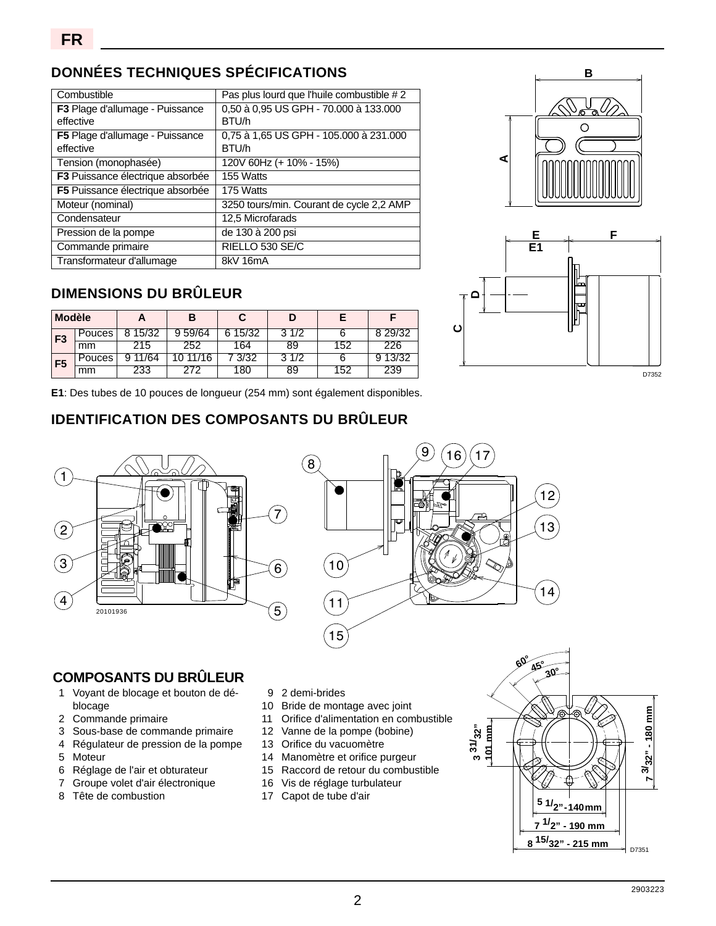## **DONNÉES TECHNIQUES SPÉCIFICATIONS**

| Combustible                      | Pas plus lourd que l'huile combustible #2 |
|----------------------------------|-------------------------------------------|
| F3 Plage d'allumage - Puissance  | 0,50 à 0,95 US GPH - 70.000 à 133.000     |
| effective                        | BTU/h                                     |
| F5 Plage d'allumage - Puissance  | 0.75 à 1.65 US GPH - 105.000 à 231.000    |
| effective                        | BTU/h                                     |
| Tension (monophasée)             | 120V 60Hz (+ 10% - 15%)                   |
| F3 Puissance électrique absorbée | 155 Watts                                 |
| F5 Puissance électrique absorbée | 175 Watts                                 |
| Moteur (nominal)                 | 3250 tours/min. Courant de cycle 2,2 AMP  |
| Condensateur                     | 12.5 Microfarads                          |
| Pression de la pompe             | de 130 à 200 psi                          |
| Commande primaire                | RIELLO 530 SE/C                           |
| Transformateur d'allumage        | 8kV 16mA                                  |

## **DIMENSIONS DU BRÛLEUR**

| <b>Modèle</b>  |                    |      | E               |            | ш        |     |       | ⋓ |       |
|----------------|--------------------|------|-----------------|------------|----------|-----|-------|---|-------|
| F <sub>3</sub> | Pouces             | 5/32 | 59/64           | 15/32<br>6 | /2<br>ັ  |     | 29/32 |   |       |
|                | mm                 |      | 202             | 64         | ၓყ       | 52. | 226   |   |       |
| F <sub>5</sub> | ouces <sup>2</sup> | /64  | /16<br>- 4      | 3/32       | 1/2<br>ັ |     | 3/32  |   |       |
|                | mm                 | دد∠  | <u>_ 1</u><br>- | 80         | 89       | 52  | 239   |   | D7352 |

**B**  $\circ$ **A**



**E1**: Des tubes de 10 pouces de longueur (254 mm) sont également disponibles.

## **IDENTIFICATION DES COMPOSANTS DU BRÛLEUR**





## **COMPOSANTS DU BRÛLEUR**

- 1 Voyant de blocage et bouton de déblocage
- 2 Commande primaire
- 3 Sous-base de commande primaire
- 4 Régulateur de pression de la pompe
- 5 Moteur
- 6 Réglage de l'air et obturateur
- 7 Groupe volet d'air électronique
- 8 Tête de combustion
- 9 2 demi-brides
- 10 Bride de montage avec joint
- 11 Orifice d'alimentation en combustible
- 12 Vanne de la pompe (bobine)
- 13 Orifice du vacuomètre
- 14 Manomètre et orifice purgeur
- 15 Raccord de retour du combustible
- 16 Vis de réglage turbulateur
- 17 Capot de tube d'air

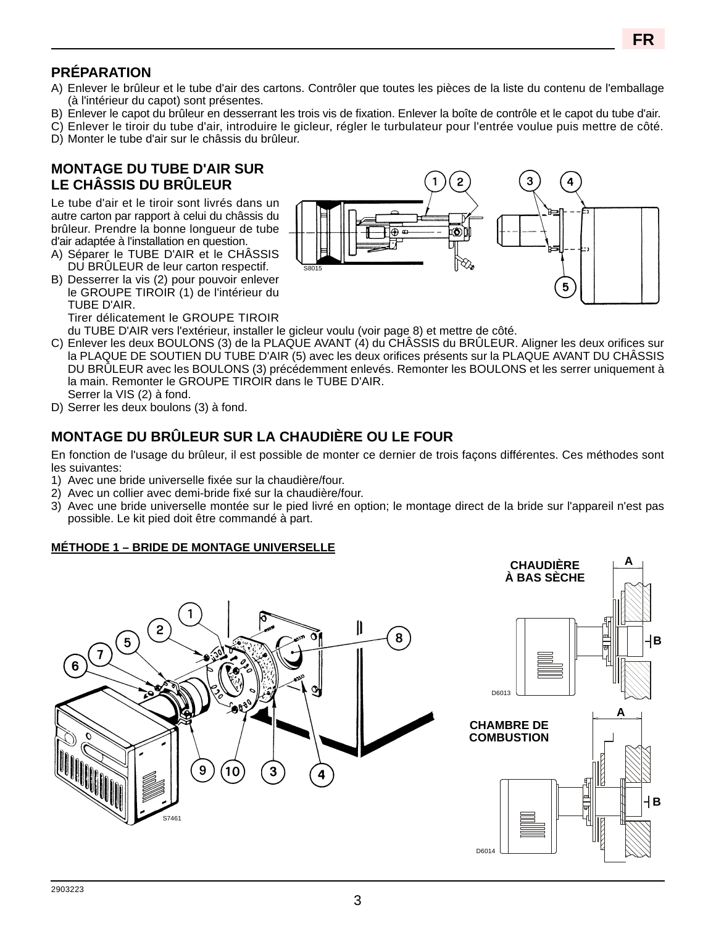**FR**

## **PRÉPARATION**

- A) Enlever le brûleur et le tube d'air des cartons. Contrôler que toutes les pièces de la liste du contenu de l'emballage (à l'intérieur du capot) sont présentes.
- B) Enlever le capot du brûleur en desserrant les trois vis de fixation. Enlever la boîte de contrôle et le capot du tube d'air.
- C) Enlever le tiroir du tube d'air, introduire le gicleur, régler le turbulateur pour l'entrée voulue puis mettre de côté.
- D) Monter le tube d'air sur le châssis du brûleur.

## **MONTAGE DU TUBE D'AIR SUR LE CHÂSSIS DU BRÛLEUR**

Le tube d'air et le tiroir sont livrés dans un autre carton par rapport à celui du châssis du brûleur. Prendre la bonne longueur de tube d'air adaptée à l'installation en question.

- A) Séparer le TUBE D'AIR et le CHÂSSIS DU BRÛLEUR de leur carton respectif.
- B) Desserrer la vis (2) pour pouvoir enlever le GROUPE TIROIR (1) de l'intérieur du TUBE D'AIR. Tirer délicatement le GROUPE TIROIR



du TUBE D'AIR vers l'extérieur, installer le gicleur voulu (voir page 8) et mettre de côté.

- C) Enlever les deux BOULONS (3) de la PLAQUE AVANT (4) du CHÂSSIS du BRÛLEUR. Aligner les deux orifices sur la PLAQUE DE SOUTIEN DU TUBE D'AIR (5) avec les deux orifices présents sur la PLAQUE AVANT DU CHÂSSIS DU BRÛLEUR avec les BOULONS (3) précédemment enlevés. Remonter les BOULONS et les serrer uniquement à la main. Remonter le GROUPE TIROIR dans le TUBE D'AIR. Serrer la VIS (2) à fond.
- D) Serrer les deux boulons (3) à fond.

## **MONTAGE DU BRÛLEUR SUR LA CHAUDIÈRE OU LE FOUR**

En fonction de l'usage du brûleur, il est possible de monter ce dernier de trois façons différentes. Ces méthodes sont les suivantes:

- 1) Avec une bride universelle fixée sur la chaudière/four.
- 2) Avec un collier avec demi-bride fixé sur la chaudière/four.
- 3) Avec une bride universelle montée sur le pied livré en option; le montage direct de la bride sur l'appareil n'est pas possible. Le kit pied doit être commandé à part.

#### **MÉTHODE 1 – BRIDE DE MONTAGE UNIVERSELLE**

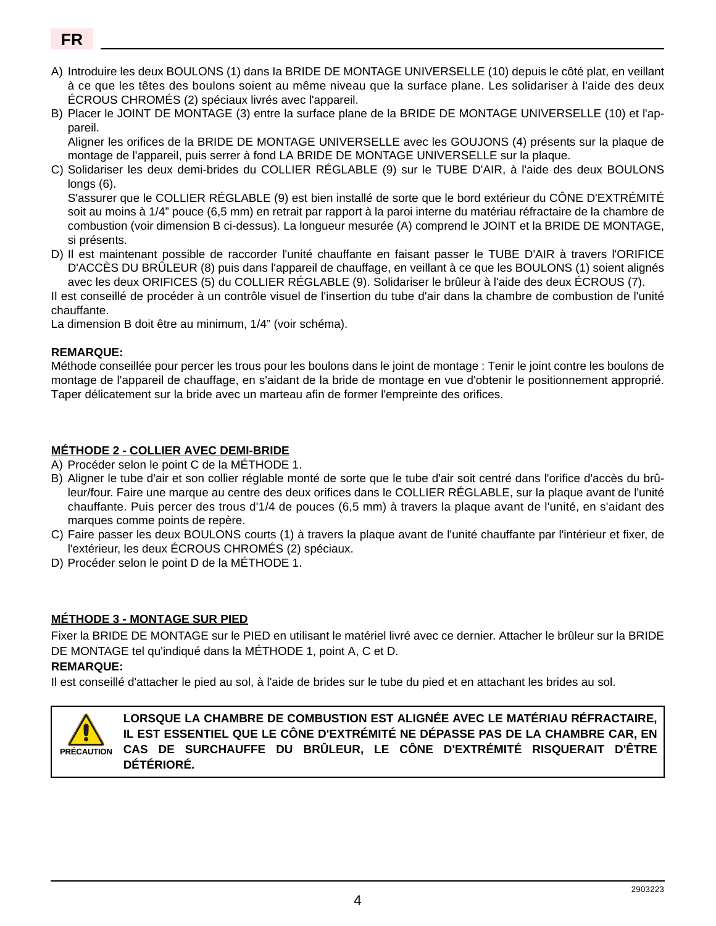## **FR**

- A) Introduire les deux BOULONS (1) dans Ia BRIDE DE MONTAGE UNIVERSELLE (10) depuis le côté plat, en veillant à ce que les têtes des boulons soient au même niveau que la surface plane. Les solidariser à l'aide des deux ÉCROUS CHROMÉS (2) spéciaux livrés avec l'appareil.
- B) Placer le JOINT DE MONTAGE (3) entre la surface plane de la BRIDE DE MONTAGE UNIVERSELLE (10) et l'appareil.

Aligner les orifices de la BRIDE DE MONTAGE UNIVERSELLE avec les GOUJONS (4) présents sur la plaque de montage de l'appareil, puis serrer à fond LA BRIDE DE MONTAGE UNIVERSELLE sur la plaque.

C) Solidariser les deux demi-brides du COLLIER RÉGLABLE (9) sur le TUBE D'AIR, à l'aide des deux BOULONS longs (6).

S'assurer que le COLLIER RÉGLABLE (9) est bien installé de sorte que le bord extérieur du CÔNE D'EXTRÉMITÉ soit au moins à 1/4" pouce (6,5 mm) en retrait par rapport à la paroi interne du matériau réfractaire de la chambre de combustion (voir dimension B ci-dessus). La longueur mesurée (A) comprend le JOINT et la BRIDE DE MONTAGE, si présents.

D) Il est maintenant possible de raccorder l'unité chauffante en faisant passer le TUBE D'AIR à travers l'ORIFICE D'ACCÈS DU BRÛLEUR (8) puis dans l'appareil de chauffage, en veillant à ce que les BOULONS (1) soient alignés avec les deux ORIFICES (5) du COLLIER RÉGLABLE (9). Solidariser le brûleur à l'aide des deux ÉCROUS (7).

Il est conseillé de procéder à un contrôle visuel de l'insertion du tube d'air dans la chambre de combustion de l'unité chauffante.

La dimension B doit être au minimum, 1/4" (voir schéma).

#### **REMARQUE:**

Méthode conseillée pour percer les trous pour les boulons dans le joint de montage : Tenir le joint contre les boulons de montage de l'appareil de chauffage, en s'aidant de la bride de montage en vue d'obtenir le positionnement approprié. Taper délicatement sur la bride avec un marteau afin de former l'empreinte des orifices.

#### **MÉTHODE 2 - COLLIER AVEC DEMI-BRIDE**

- A) Procéder selon le point C de la MÉTHODE 1.
- B) Aligner le tube d'air et son collier réglable monté de sorte que le tube d'air soit centré dans l'orifice d'accès du brûleur/four. Faire une marque au centre des deux orifices dans le COLLIER RÉGLABLE, sur la plaque avant de l'unité chauffante. Puis percer des trous d'1/4 de pouces (6,5 mm) à travers la plaque avant de l'unité, en s'aidant des marques comme points de repère.
- C) Faire passer les deux BOULONS courts (1) à travers la plaque avant de l'unité chauffante par l'intérieur et fixer, de l'extérieur, les deux ÉCROUS CHROMÉS (2) spéciaux.
- D) Procéder selon le point D de la MÉTHODE 1.

#### **MÉTHODE 3 - MONTAGE SUR PIED**

Fixer la BRIDE DE MONTAGE sur le PIED en utilisant le matériel livré avec ce dernier. Attacher le brûleur sur la BRIDE DE MONTAGE tel qu'indiqué dans la MÉTHODE 1, point A, C et D.

#### **REMARQUE:**

Il est conseillé d'attacher le pied au sol, à l'aide de brides sur le tube du pied et en attachant les brides au sol.



**LORSQUE LA CHAMBRE DE COMBUSTION EST ALIGNÉE AVEC LE MATÉRIAU RÉFRACTAIRE, IL EST ESSENTIEL QUE LE CÔNE D'EXTRÉMITÉ NE DÉPASSE PAS DE LA CHAMBRE CAR, EN CAS DE SURCHAUFFE DU BRÛLEUR, LE CÔNE D'EXTRÉMITÉ RISQUERAIT D'ÊTRE DÉTÉRIORÉ.**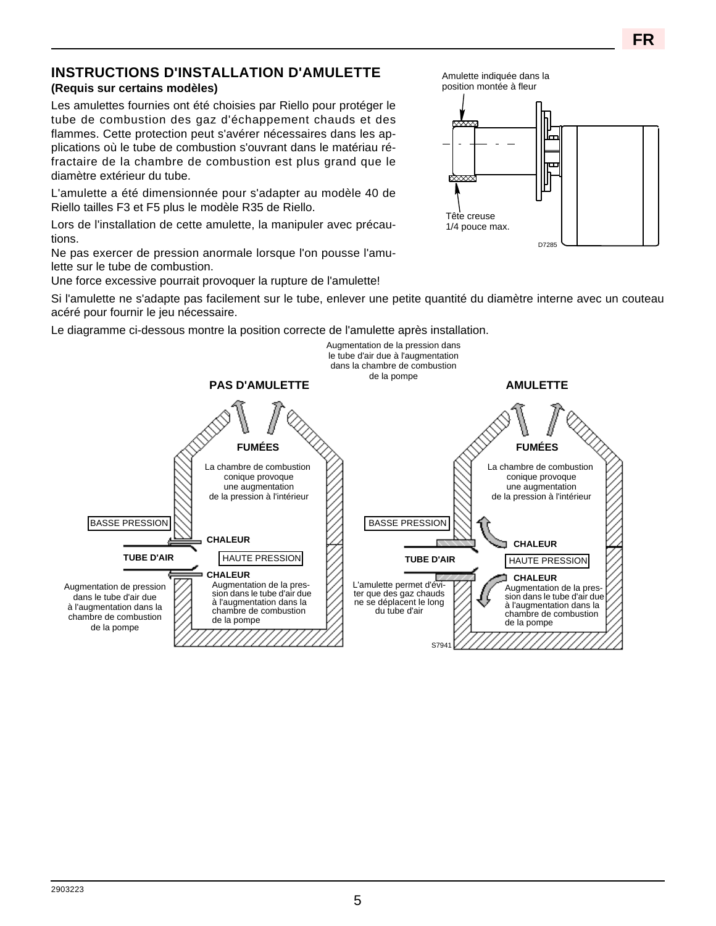#### **INSTRUCTIONS D'INSTALLATION D'AMULETTE (Requis sur certains modèles)**

Les amulettes fournies ont été choisies par Riello pour protéger le tube de combustion des gaz d'échappement chauds et des flammes. Cette protection peut s'avérer nécessaires dans les applications où le tube de combustion s'ouvrant dans le matériau réfractaire de la chambre de combustion est plus grand que le diamètre extérieur du tube.

L'amulette a été dimensionnée pour s'adapter au modèle 40 de Riello tailles F3 et F5 plus le modèle R35 de Riello.

Lors de l'installation de cette amulette, la manipuler avec précautions.

Ne pas exercer de pression anormale lorsque l'on pousse l'amulette sur le tube de combustion.

Une force excessive pourrait provoquer la rupture de l'amulette!

Si l'amulette ne s'adapte pas facilement sur le tube, enlever une petite quantité du diamètre interne avec un couteau acéré pour fournir le jeu nécessaire.

Le diagramme ci-dessous montre la position correcte de l'amulette après installation.



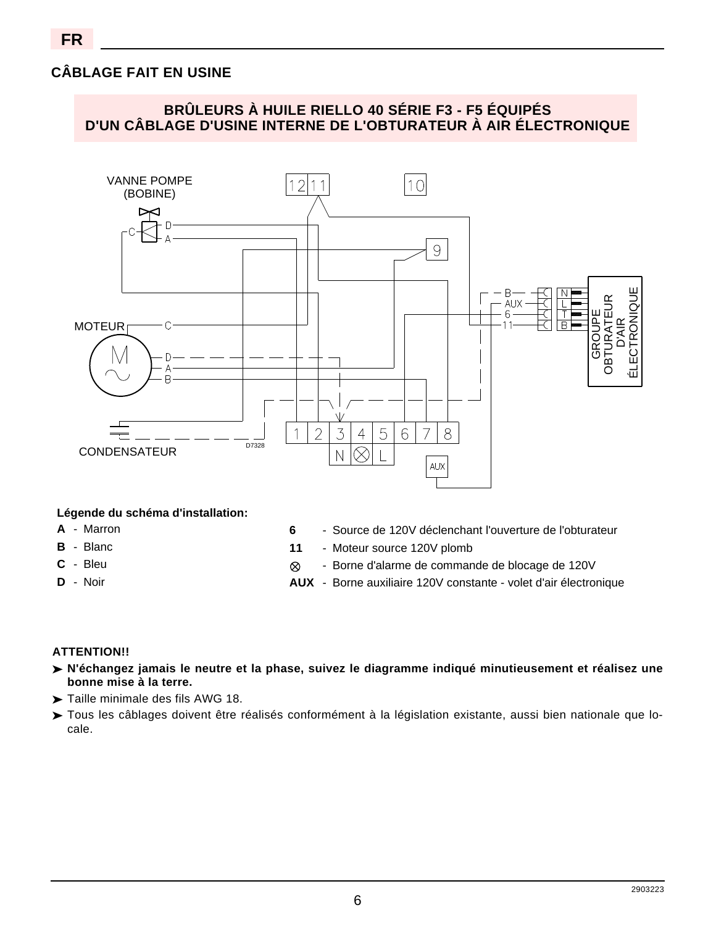## **CÂBLAGE FAIT EN USINE**



#### **Légende du schéma d'installation:**

- **A** Marron
- **B** Blanc
- **C** Bleu
- **D** Noir
- **6** Source de 120V déclenchant l'ouverture de l'obturateur
- **11** Moteur source 120V plomb
	- Borne d'alarme de commande de blocage de 120V
- **AUX** Borne auxiliaire 120V constante volet d'air électronique

### **ATTENTION!!**

- **N'échangez jamais le neutre et la phase, suivez le diagramme indiqué minutieusement et réalisez une bonne mise à la terre.**
- $\blacktriangleright$  Taille minimale des fils AWG 18.
- Tous les câblages doivent être réalisés conformément à la législation existante, aussi bien nationale que lo-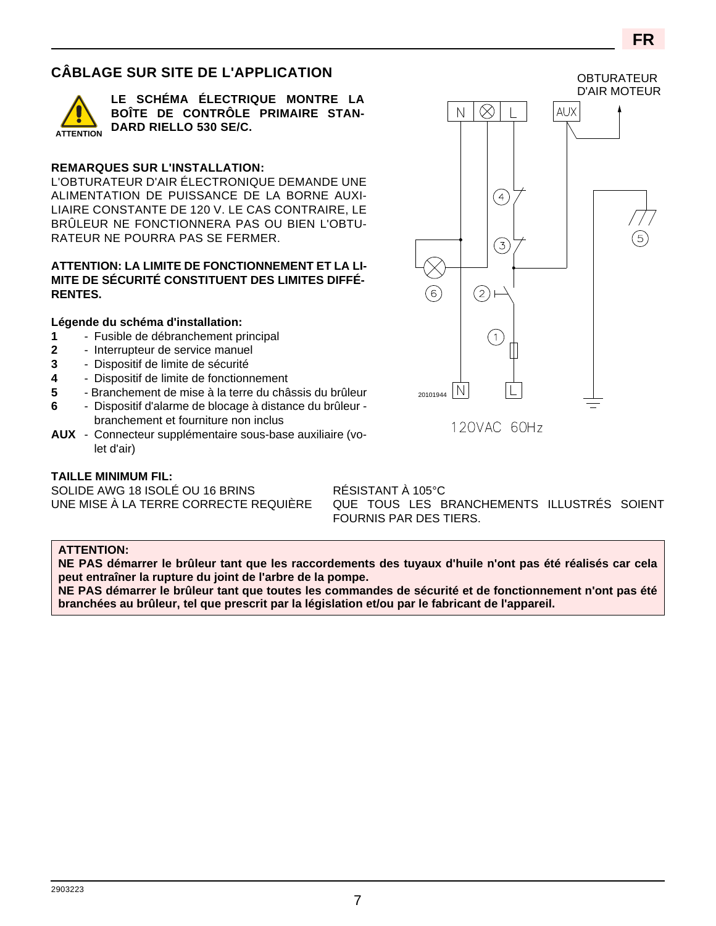## **CÂBLAGE SUR SITE DE L'APPLICATION**



**LE SCHÉMA ÉLECTRIQUE MONTRE LA BOÎTE DE CONTRÔLE PRIMAIRE STAN-DARD RIELLO 530 SE/C.**

#### **REMARQUES SUR L'INSTALLATION:**

L'OBTURATEUR D'AIR ÉLECTRONIQUE DEMANDE UNE ALIMENTATION DE PUISSANCE DE LA BORNE AUXI-LIAIRE CONSTANTE DE 120 V. LE CAS CONTRAIRE, LE BRÛLEUR NE FONCTIONNERA PAS OU BIEN L'OBTU-RATEUR NE POURRA PAS SE FERMER.

#### **ATTENTION: LA LIMITE DE FONCTIONNEMENT ET LA LI-MITE DE SÉCURITÉ CONSTITUENT DES LIMITES DIFFÉ-RENTES.**

#### **Légende du schéma d'installation:**

- **1** Fusible de débranchement principal
- **2** Interrupteur de service manuel
- **3** Dispositif de limite de sécurité
- **4** Dispositif de limite de fonctionnement
- **5** Branchement de mise à la terre du châssis du brûleur
- **6** Dispositif d'alarme de blocage à distance du brûleur branchement et fourniture non inclus
- **AUX** Connecteur supplémentaire sous-base auxiliaire (volet d'air)

#### **TAILLE MINIMUM FIL:**

SOLIDE AWG 18 ISOLÉ OU 16 BRINS RÉSISTANT À 105°C

UNE MISE À LA TERRE CORRECTE REQUIÈRE QUE TOUS LES BRANCHEMENTS ILLUSTRÉS SOIENT FOURNIS PAR DES TIERS.

#### **ATTENTION:**

**NE PAS démarrer le brûleur tant que les raccordements des tuyaux d'huile n'ont pas été réalisés car cela peut entraîner la rupture du joint de l'arbre de la pompe.**

**NE PAS démarrer le brûleur tant que toutes les commandes de sécurité et de fonctionnement n'ont pas été branchées au brûleur, tel que prescrit par la législation et/ou par le fabricant de l'appareil.**

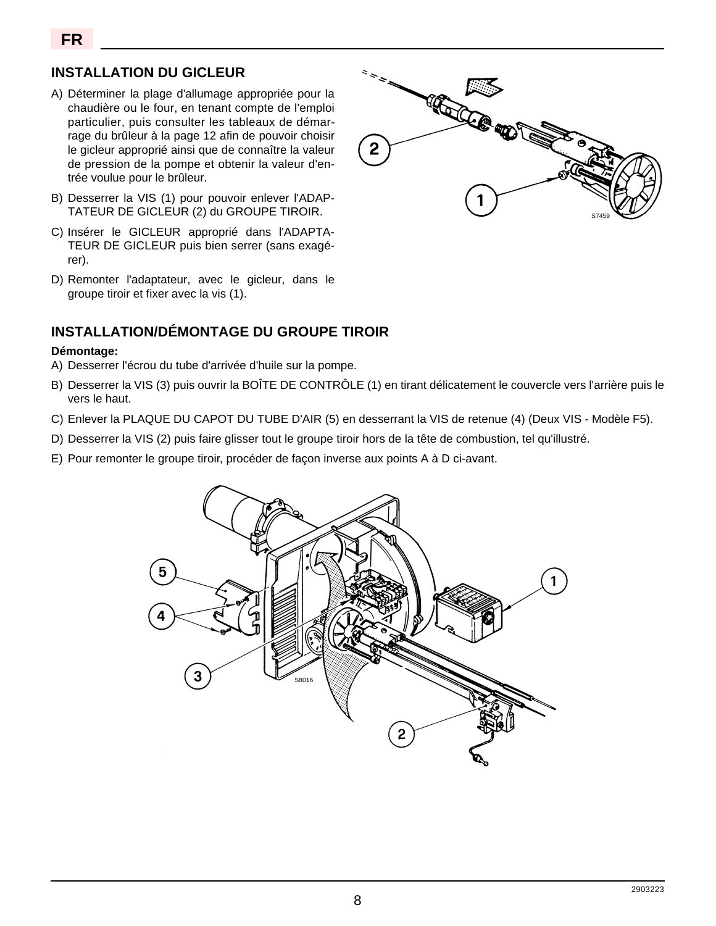## **INSTALLATION DU GICLEUR**

- A) Déterminer la plage d'allumage appropriée pour la chaudière ou le four, en tenant compte de l'emploi particulier, puis consulter les tableaux de démarrage du brûleur à la page 12 afin de pouvoir choisir le gicleur approprié ainsi que de connaître la valeur de pression de la pompe et obtenir la valeur d'entrée voulue pour le brûleur.
- B) Desserrer la VIS (1) pour pouvoir enlever l'ADAP-TATEUR DE GICLEUR (2) du GROUPE TIROIR.
- C) Insérer le GICLEUR approprié dans l'ADAPTA-TEUR DE GICLEUR puis bien serrer (sans exagérer).
- D) Remonter l'adaptateur, avec le gicleur, dans le groupe tiroir et fixer avec la vis (1).

## **INSTALLATION/DÉMONTAGE DU GROUPE TIROIR**

#### **Démontage:**

- A) Desserrer l'écrou du tube d'arrivée d'huile sur la pompe.
- B) Desserrer la VIS (3) puis ouvrir la BOÎTE DE CONTRÔLE (1) en tirant délicatement le couvercle vers l'arrière puis le vers le haut.
- C) Enlever la PLAQUE DU CAPOT DU TUBE D'AIR (5) en desserrant la VIS de retenue (4) (Deux VIS Modèle F5).
- D) Desserrer la VIS (2) puis faire glisser tout le groupe tiroir hors de la tête de combustion, tel qu'illustré.
- E) Pour remonter le groupe tiroir, procéder de façon inverse aux points A à D ci-avant.



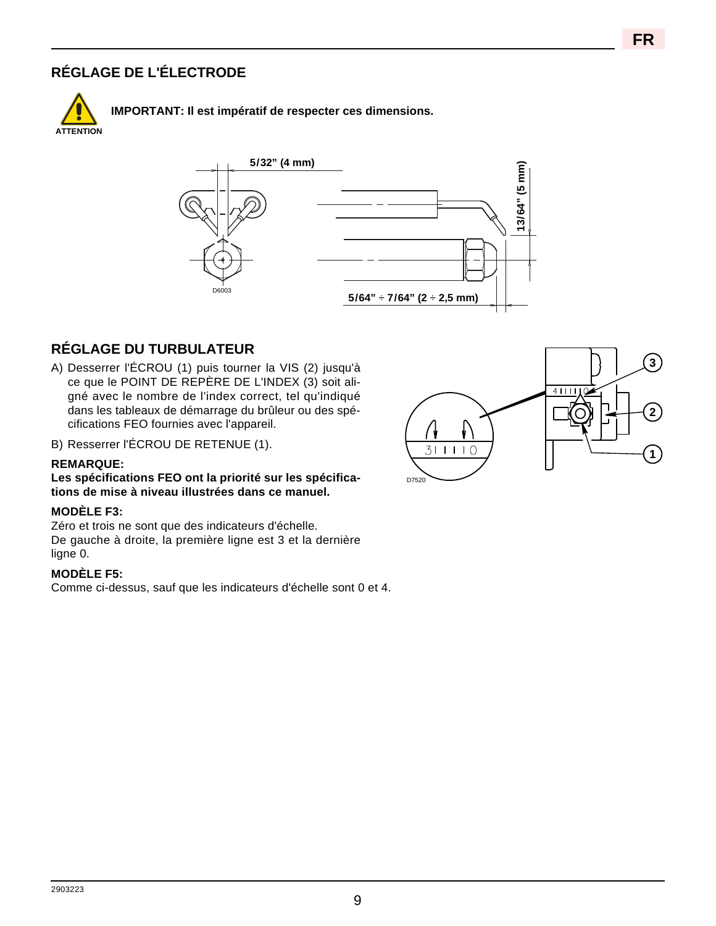## **RÉGLAGE DE L'ÉLECTRODE**



**IMPORTANT: Il est impératif de respecter ces dimensions.**



## **RÉGLAGE DU TURBULATEUR**

- A) Desserrer l'ÉCROU (1) puis tourner la VIS (2) jusqu'à ce que le POINT DE REPÈRE DE L'INDEX (3) soit aligné avec le nombre de l'index correct, tel qu'indiqué dans les tableaux de démarrage du brûleur ou des spécifications FEO fournies avec l'appareil.
- B) Resserrer l'ÉCROU DE RETENUE (1).

#### **REMARQUE:**

#### **Les spécifications FEO ont la priorité sur les spécifications de mise à niveau illustrées dans ce manuel.**

#### **MODÈLE F3:**

Zéro et trois ne sont que des indicateurs d'échelle. De gauche à droite, la première ligne est 3 et la dernière ligne 0.

#### **MODÈLE F5:**

Comme ci-dessus, sauf que les indicateurs d'échelle sont 0 et 4.

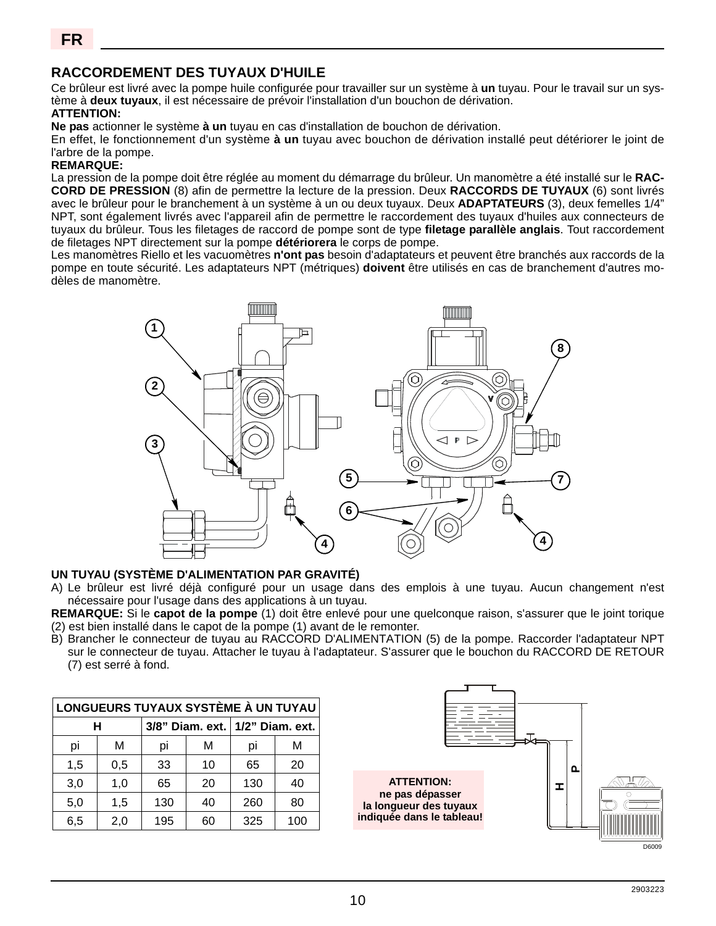## **RACCORDEMENT DES TUYAUX D'HUILE**

Ce brûleur est livré avec la pompe huile configurée pour travailler sur un système à **un** tuyau. Pour le travail sur un système à **deux tuyaux**, il est nécessaire de prévoir l'installation d'un bouchon de dérivation.

#### **ATTENTION:**

**Ne pas** actionner le système **à un** tuyau en cas d'installation de bouchon de dérivation.

En effet, le fonctionnement d'un système **à un** tuyau avec bouchon de dérivation installé peut détériorer le joint de l'arbre de la pompe.

#### **REMARQUE:**

La pression de la pompe doit être réglée au moment du démarrage du brûleur. Un manomètre a été installé sur le **RAC-CORD DE PRESSION** (8) afin de permettre la lecture de la pression. Deux **RACCORDS DE TUYAUX** (6) sont livrés avec le brûleur pour le branchement à un système à un ou deux tuyaux. Deux **ADAPTATEURS** (3), deux femelles 1/4" NPT, sont également livrés avec l'appareil afin de permettre le raccordement des tuyaux d'huiles aux connecteurs de tuyaux du brûleur. Tous les filetages de raccord de pompe sont de type **filetage parallèle anglais**. Tout raccordement de filetages NPT directement sur la pompe **détériorera** le corps de pompe.

Les manomètres Riello et les vacuomètres **n'ont pas** besoin d'adaptateurs et peuvent être branchés aux raccords de la pompe en toute sécurité. Les adaptateurs NPT (métriques) **doivent** être utilisés en cas de branchement d'autres modèles de manomètre.



#### **UN TUYAU (SYSTÈME D'ALIMENTATION PAR GRAVITÉ)**

A) Le brûleur est livré déjà configuré pour un usage dans des emplois à une tuyau. Aucun changement n'est nécessaire pour l'usage dans des applications à un tuyau.

**REMARQUE:** Si le **capot de la pompe** (1) doit être enlevé pour une quelconque raison, s'assurer que le joint torique (2) est bien installé dans le capot de la pompe (1) avant de le remonter.

B) Brancher le connecteur de tuyau au RACCORD D'ALIMENTATION (5) de la pompe. Raccorder l'adaptateur NPT sur le connecteur de tuyau. Attacher le tuyau à l'adaptateur. S'assurer que le bouchon du RACCORD DE RETOUR (7) est serré à fond.

| LONGUEURS TUYAUX SYSTÈME À UN TUYAU |     |                                 |    |     |     |  |  |  |  |  |  |
|-------------------------------------|-----|---------------------------------|----|-----|-----|--|--|--|--|--|--|
|                                     | н   | 3/8" Diam. ext. 1/2" Diam. ext. |    |     |     |  |  |  |  |  |  |
| pi                                  | M   | рi                              | м  | рi  | м   |  |  |  |  |  |  |
| 1,5                                 | 0,5 | 33                              | 10 | 65  | 20  |  |  |  |  |  |  |
| 3,0                                 | 1,0 | 65                              | 20 | 130 | 40  |  |  |  |  |  |  |
| 5,0                                 | 1,5 | 130                             | 40 | 260 | 80  |  |  |  |  |  |  |
| 6,5                                 | 2,0 | 195                             | 60 | 325 | 100 |  |  |  |  |  |  |

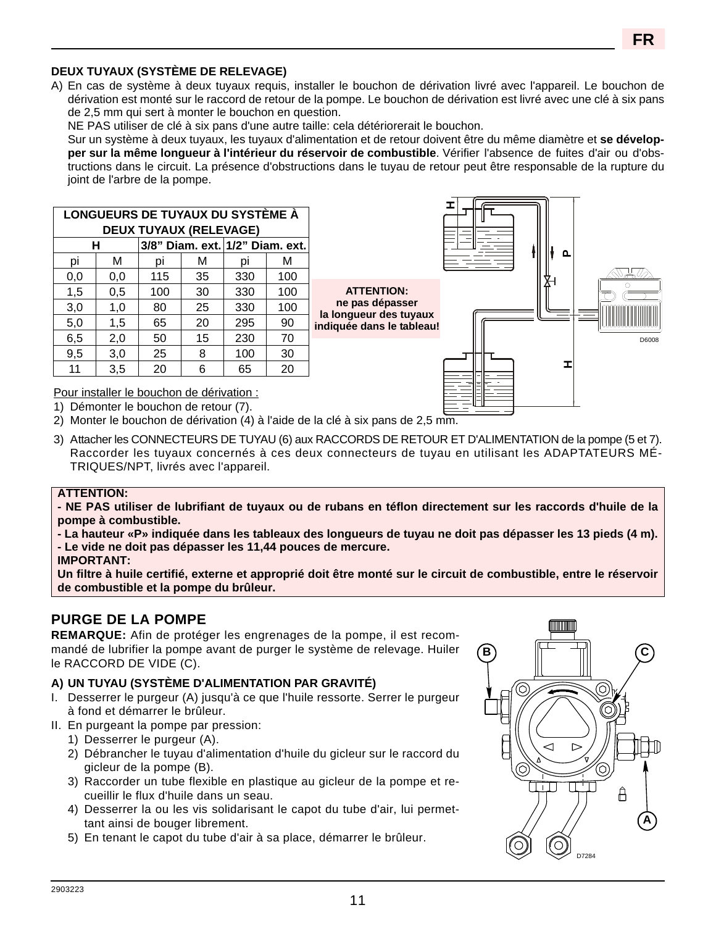## **FR**

#### **DEUX TUYAUX (SYSTÈME DE RELEVAGE)**

A) En cas de système à deux tuyaux requis, installer le bouchon de dérivation livré avec l'appareil. Le bouchon de dérivation est monté sur le raccord de retour de la pompe. Le bouchon de dérivation est livré avec une clé à six pans de 2,5 mm qui sert à monter le bouchon en question.

NE PAS utiliser de clé à six pans d'une autre taille: cela détériorerait le bouchon.

Sur un système à deux tuyaux, les tuyaux d'alimentation et de retour doivent être du même diamètre et **se développer sur la même longueur à l'intérieur du réservoir de combustible**. Vérifier l'absence de fuites d'air ou d'obstructions dans le circuit. La présence d'obstructions dans le tuyau de retour peut être responsable de la rupture du joint de l'arbre de la pompe.

> **ATTENTION: ne pas dépasser**

|    | LONGUEURS DE TUYAUX DU SYSTÈME À     |     |    |     |     |     |  |  |  |  |  |  |  |  |
|----|--------------------------------------|-----|----|-----|-----|-----|--|--|--|--|--|--|--|--|
|    | <b>DEUX TUYAUX (RELEVAGE)</b>        |     |    |     |     |     |  |  |  |  |  |  |  |  |
|    | 3/8" Diam. ext. 1/2" Diam. ext.<br>н |     |    |     |     |     |  |  |  |  |  |  |  |  |
|    | M                                    | рı  | M  | рı  | м   | рi  |  |  |  |  |  |  |  |  |
|    | 100                                  | 330 | 35 | 115 | 0,0 | 0,0 |  |  |  |  |  |  |  |  |
|    | 100                                  | 330 | 30 | 100 | 0,5 | 1,5 |  |  |  |  |  |  |  |  |
| В  | 100                                  | 330 | 25 | 80  | 1,0 | 3,0 |  |  |  |  |  |  |  |  |
| in | 90                                   | 295 | 20 | 65  | 1,5 | 5,0 |  |  |  |  |  |  |  |  |
|    | 70                                   | 230 | 15 | 50  | 2,0 | 6,5 |  |  |  |  |  |  |  |  |
|    | 30                                   | 100 | 8  | 25  | 3,0 | 9,5 |  |  |  |  |  |  |  |  |
|    | 20                                   | 65  | 6  | 20  | 3,5 | 11  |  |  |  |  |  |  |  |  |



Pour installer le bouchon de dérivation :

1) Démonter le bouchon de retour (7).

2) Monter le bouchon de dérivation (4) à l'aide de la clé à six pans de 2,5 mm.

3) Attacher les CONNECTEURS DE TUYAU (6) aux RACCORDS DE RETOUR ET D'ALIMENTATION de la pompe (5 et 7). Raccorder les tuyaux concernés à ces deux connecteurs de tuyau en utilisant les ADAPTATEURS MÉ-TRIQUES/NPT, livrés avec l'appareil.

#### **ATTENTION:**

**- NE PAS utiliser de lubrifiant de tuyaux ou de rubans en téflon directement sur les raccords d'huile de la pompe à combustible.**

**- La hauteur «P» indiquée dans les tableaux des longueurs de tuyau ne doit pas dépasser les 13 pieds (4 m). - Le vide ne doit pas dépasser les 11,44 pouces de mercure.**

#### **IMPORTANT:**

**Un filtre à huile certifié, externe et approprié doit être monté sur le circuit de combustible, entre le réservoir de combustible et la pompe du brûleur.**

## **PURGE DE LA POMPE**

**REMARQUE:** Afin de protéger les engrenages de la pompe, il est recommandé de lubrifier la pompe avant de purger le système de relevage. Huiler le RACCORD DE VIDE (C).

#### **A) UN TUYAU (SYSTÈME D'ALIMENTATION PAR GRAVITÉ)**

- I. Desserrer le purgeur (A) jusqu'à ce que l'huile ressorte. Serrer le purgeur à fond et démarrer le brûleur.
- II. En purgeant la pompe par pression:
	- 1) Desserrer le purgeur (A).
	- 2) Débrancher le tuyau d'alimentation d'huile du gicleur sur le raccord du gicleur de la pompe (B).
	- 3) Raccorder un tube flexible en plastique au gicleur de la pompe et recueillir le flux d'huile dans un seau.
	- 4) Desserrer la ou les vis solidarisant le capot du tube d'air, lui permettant ainsi de bouger librement.
	- 5) En tenant le capot du tube d'air à sa place, démarrer le brûleur.

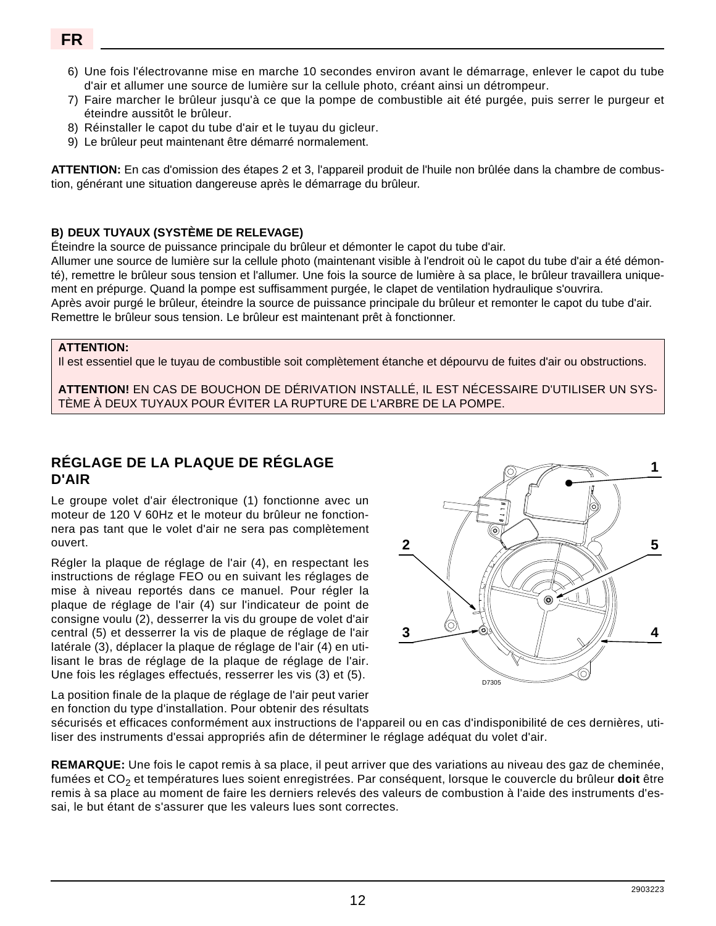- 6) Une fois l'électrovanne mise en marche 10 secondes environ avant le démarrage, enlever le capot du tube d'air et allumer une source de lumière sur la cellule photo, créant ainsi un détrompeur.
- 7) Faire marcher le brûleur jusqu'à ce que la pompe de combustible ait été purgée, puis serrer le purgeur et éteindre aussitôt le brûleur.
- 8) Réinstaller le capot du tube d'air et le tuyau du gicleur.
- 9) Le brûleur peut maintenant être démarré normalement.

**ATTENTION:** En cas d'omission des étapes 2 et 3, l'appareil produit de l'huile non brûlée dans la chambre de combustion, générant une situation dangereuse après le démarrage du brûleur.

#### **B) DEUX TUYAUX (SYSTÈME DE RELEVAGE)**

Éteindre la source de puissance principale du brûleur et démonter le capot du tube d'air.

Allumer une source de lumière sur la cellule photo (maintenant visible à l'endroit où le capot du tube d'air a été démonté), remettre le brûleur sous tension et l'allumer. Une fois la source de lumière à sa place, le brûleur travaillera uniquement en prépurge. Quand la pompe est suffisamment purgée, le clapet de ventilation hydraulique s'ouvrira. Après avoir purgé le brûleur, éteindre la source de puissance principale du brûleur et remonter le capot du tube d'air. Remettre le brûleur sous tension. Le brûleur est maintenant prêt à fonctionner.

#### **ATTENTION:**

Il est essentiel que le tuyau de combustible soit complètement étanche et dépourvu de fuites d'air ou obstructions.

**ATTENTION!** EN CAS DE BOUCHON DE DÉRIVATION INSTALLÉ, IL EST NÉCESSAIRE D'UTILISER UN SYS-TÈME À DEUX TUYAUX POUR ÉVITER LA RUPTURE DE L'ARBRE DE LA POMPE.

## **RÉGLAGE DE LA PLAQUE DE RÉGLAGE D'AIR**

Le groupe volet d'air électronique (1) fonctionne avec un moteur de 120 V 60Hz et le moteur du brûleur ne fonctionnera pas tant que le volet d'air ne sera pas complètement ouvert.

Régler la plaque de réglage de l'air (4), en respectant les instructions de réglage FEO ou en suivant les réglages de mise à niveau reportés dans ce manuel. Pour régler la plaque de réglage de l'air (4) sur l'indicateur de point de consigne voulu (2), desserrer la vis du groupe de volet d'air central (5) et desserrer la vis de plaque de réglage de l'air latérale (3), déplacer la plaque de réglage de l'air (4) en utilisant le bras de réglage de la plaque de réglage de l'air. Une fois les réglages effectués, resserrer les vis (3) et (5).

**2** ◉ **3** D7305

La position finale de la plaque de réglage de l'air peut varier en fonction du type d'installation. Pour obtenir des résultats

sécurisés et efficaces conformément aux instructions de l'appareil ou en cas d'indisponibilité de ces dernières, utiliser des instruments d'essai appropriés afin de déterminer le réglage adéquat du volet d'air.

**REMARQUE:** Une fois le capot remis à sa place, il peut arriver que des variations au niveau des gaz de cheminée, fumées et CO<sub>2</sub> et températures lues soient enregistrées. Par conséquent, lorsque le couvercle du brûleur **doit** être remis à sa place au moment de faire les derniers relevés des valeurs de combustion à l'aide des instruments d'essai, le but étant de s'assurer que les valeurs lues sont correctes.

**4**

**5**

**1**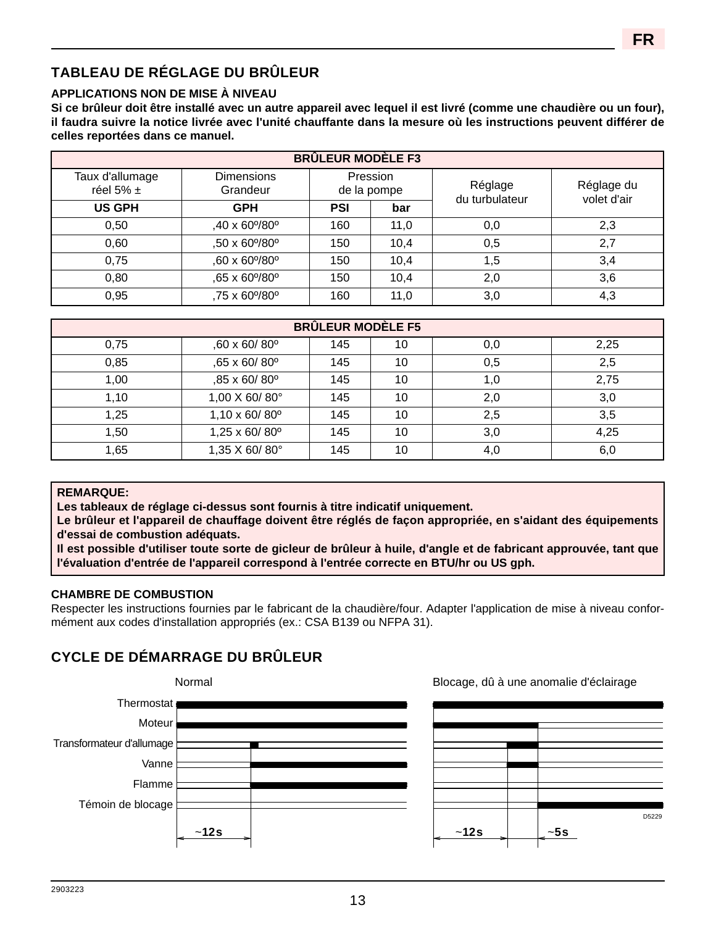# **TABLEAU DE RÉGLAGE DU BRÛLEUR**

#### **APPLICATIONS NON DE MISE À NIVEAU**

**Si ce brûleur doit être installé avec un autre appareil avec lequel il est livré (comme une chaudière ou un four), il faudra suivre la notice livrée avec l'unité chauffante dans la mesure où les instructions peuvent différer de celles reportées dans ce manuel.**

| <b>BRÛLEUR MODÈLE F3</b>         |                               |            |                         |                           |                           |  |  |  |  |  |  |  |
|----------------------------------|-------------------------------|------------|-------------------------|---------------------------|---------------------------|--|--|--|--|--|--|--|
| Taux d'allumage<br>réel 5% $\pm$ | <b>Dimensions</b><br>Grandeur |            | Pression<br>de la pompe | Réglage<br>du turbulateur | Réglage du<br>volet d'air |  |  |  |  |  |  |  |
| <b>US GPH</b>                    | <b>GPH</b>                    | <b>PSI</b> | bar                     |                           |                           |  |  |  |  |  |  |  |
| 0,50                             | ,40 x 60% 80°                 | 160        | 11,0                    | 0,0                       | 2,3                       |  |  |  |  |  |  |  |
| 0,60                             | ,50 x 60%80°                  | 150        | 10,4                    | 0,5                       | 2,7                       |  |  |  |  |  |  |  |
| 0,75                             | ,60 x 60% 80°                 | 150        | 10,4                    | 1,5                       | 3,4                       |  |  |  |  |  |  |  |
| 0,80                             | ,65 x 60%80°                  | 150        | 10,4                    | 2,0                       | 3,6                       |  |  |  |  |  |  |  |
| 0,95                             | ,75 x 60%80°                  | 160        | 11,0                    | 3,0                       | 4,3                       |  |  |  |  |  |  |  |

| <b>BRÛLEUR MODÈLE F5</b> |               |     |    |     |      |  |  |  |  |  |  |  |
|--------------------------|---------------|-----|----|-----|------|--|--|--|--|--|--|--|
| 0,75                     | ,60 x 60/80°  | 145 | 10 | 0,0 | 2,25 |  |  |  |  |  |  |  |
| 0,85                     | ,65 x 60/80°  | 145 | 10 | 0,5 | 2,5  |  |  |  |  |  |  |  |
| 1,00                     | ,85 x 60/80°  | 145 | 10 | 1,0 | 2,75 |  |  |  |  |  |  |  |
| 1,10                     | 1,00 X 60/80° | 145 | 10 | 2,0 | 3,0  |  |  |  |  |  |  |  |
| 1,25                     | 1,10 x 60/80° | 145 | 10 | 2,5 | 3,5  |  |  |  |  |  |  |  |
| 1,50                     | 1,25 x 60/80° | 145 | 10 | 3,0 | 4,25 |  |  |  |  |  |  |  |
| 1,65                     | 1,35 X 60/80° | 145 | 10 | 4,0 | 6,0  |  |  |  |  |  |  |  |

#### **REMARQUE:**

**Les tableaux de réglage ci-dessus sont fournis à titre indicatif uniquement.** 

**Le brûleur et l'appareil de chauffage doivent être réglés de façon appropriée, en s'aidant des équipements d'essai de combustion adéquats.**

**Il est possible d'utiliser toute sorte de gicleur de brûleur à huile, d'angle et de fabricant approuvée, tant que l'évaluation d'entrée de l'appareil correspond à l'entrée correcte en BTU/hr ou US gph.**

#### **CHAMBRE DE COMBUSTION**

Respecter les instructions fournies par le fabricant de la chaudière/four. Adapter l'application de mise à niveau conformément aux codes d'installation appropriés (ex.: CSA B139 ou NFPA 31).

## **CYCLE DE DÉMARRAGE DU BRÛLEUR**



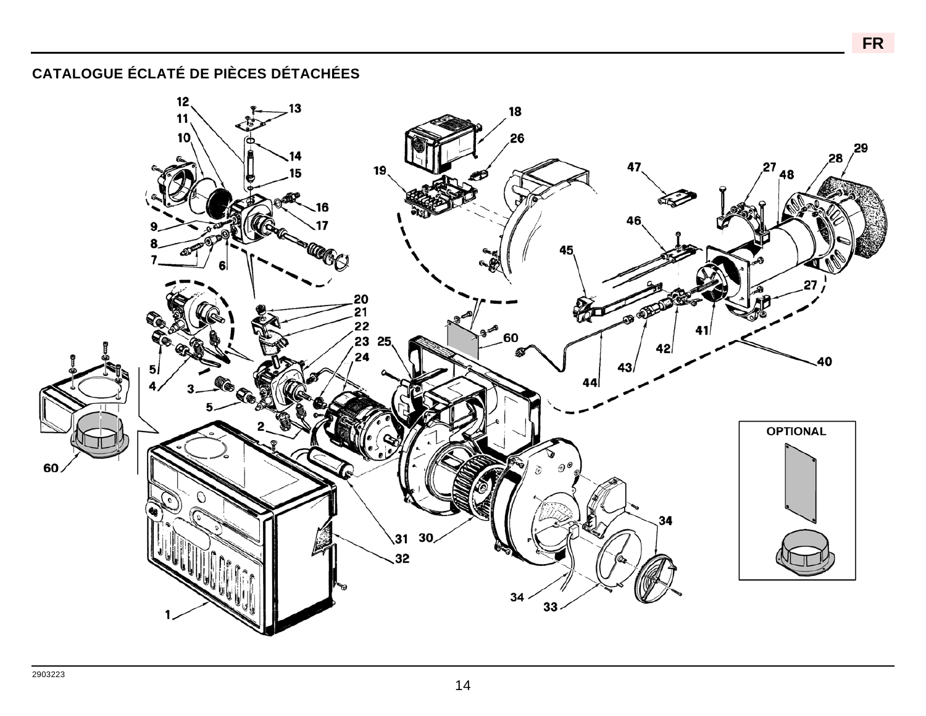**CATALOGUE ÉCLATÉ DE PIÈCES DÉTACHÉES**

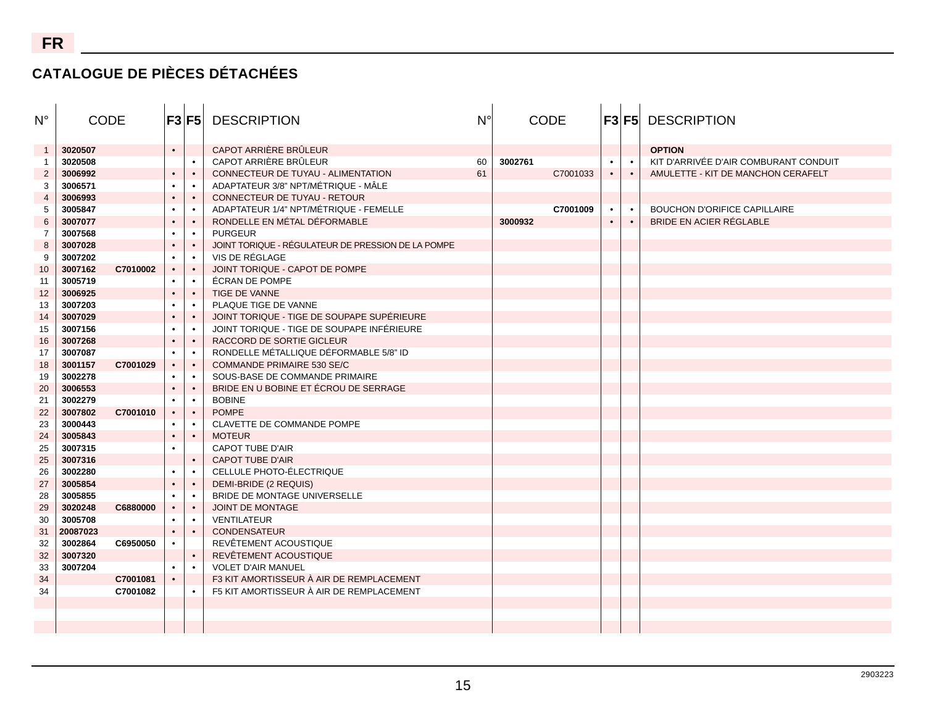## **CATALOGUE DE PIÈCES DÉTACHÉES**

| $N^{\circ}$    | <b>CODE</b> |          | F3 F5     |           | <b>DESCRIPTION</b>                                 | $N^{\circ}$ | <b>CODE</b> |          |           |           |                                       |  |  |  |  |  |  |  | <b>F3 F5 DESCRIPTION</b> |
|----------------|-------------|----------|-----------|-----------|----------------------------------------------------|-------------|-------------|----------|-----------|-----------|---------------------------------------|--|--|--|--|--|--|--|--------------------------|
|                | 3020507     |          | $\bullet$ |           | CAPOT ARRIÈRE BRÛLEUR                              |             |             |          |           |           | <b>OPTION</b>                         |  |  |  |  |  |  |  |                          |
| $\overline{1}$ | 3020508     |          |           | $\bullet$ | CAPOT ARRIÈRE BRÛLEUR                              | 60          | 3002761     |          | $\bullet$ |           | KIT D'ARRIVÉE D'AIR COMBURANT CONDUIT |  |  |  |  |  |  |  |                          |
| $\overline{2}$ | 3006992     |          | $\bullet$ | $\bullet$ | CONNECTEUR DE TUYAU - ALIMENTATION                 | 61          |             | C7001033 | $\bullet$ | $\bullet$ | AMULETTE - KIT DE MANCHON CERAFELT    |  |  |  |  |  |  |  |                          |
| 3              | 3006571     |          |           | $\bullet$ | ADAPTATEUR 3/8" NPT/MÉTRIQUE - MÂLE                |             |             |          |           |           |                                       |  |  |  |  |  |  |  |                          |
| $\overline{4}$ | 3006993     |          |           | $\bullet$ | CONNECTEUR DE TUYAU - RETOUR                       |             |             |          |           |           |                                       |  |  |  |  |  |  |  |                          |
| 5              | 3005847     |          |           | $\bullet$ | ADAPTATEUR 1/4" NPT/MÉTRIQUE - FEMELLE             |             |             | C7001009 |           | $\bullet$ | <b>BOUCHON D'ORIFICE CAPILLAIRE</b>   |  |  |  |  |  |  |  |                          |
| 6              | 3007077     |          |           | $\bullet$ | RONDELLE EN MÉTAL DÉFORMABLE                       |             | 3000932     |          | $\bullet$ | $\bullet$ | BRIDE EN ACIER RÉGLABLE               |  |  |  |  |  |  |  |                          |
| $\overline{7}$ | 3007568     |          |           | $\bullet$ | <b>PURGEUR</b>                                     |             |             |          |           |           |                                       |  |  |  |  |  |  |  |                          |
| 8              | 3007028     |          |           | $\bullet$ | JOINT TORIQUE - RÉGULATEUR DE PRESSION DE LA POMPE |             |             |          |           |           |                                       |  |  |  |  |  |  |  |                          |
| 9              | 3007202     |          |           | $\bullet$ | VIS DE RÉGLAGE                                     |             |             |          |           |           |                                       |  |  |  |  |  |  |  |                          |
| 10             | 3007162     | C7010002 | $\bullet$ | $\bullet$ | JOINT TORIQUE - CAPOT DE POMPE                     |             |             |          |           |           |                                       |  |  |  |  |  |  |  |                          |
| 11             | 3005719     |          |           |           | <b>ÉCRAN DE POMPE</b>                              |             |             |          |           |           |                                       |  |  |  |  |  |  |  |                          |
| 12             | 3006925     |          |           | $\bullet$ | TIGE DE VANNE                                      |             |             |          |           |           |                                       |  |  |  |  |  |  |  |                          |
| 13             | 3007203     |          |           | $\bullet$ | PLAQUE TIGE DE VANNE                               |             |             |          |           |           |                                       |  |  |  |  |  |  |  |                          |
| 14             | 3007029     |          |           | $\bullet$ | JOINT TORIQUE - TIGE DE SOUPAPE SUPÉRIEURE         |             |             |          |           |           |                                       |  |  |  |  |  |  |  |                          |
| 15             | 3007156     |          |           | $\bullet$ | JOINT TORIQUE - TIGE DE SOUPAPE INFÉRIEURE         |             |             |          |           |           |                                       |  |  |  |  |  |  |  |                          |
| 16             | 3007268     |          | $\bullet$ | $\bullet$ | RACCORD DE SORTIE GICLEUR                          |             |             |          |           |           |                                       |  |  |  |  |  |  |  |                          |
| 17             | 3007087     |          |           | $\bullet$ | RONDELLE MÉTALLIQUE DÉFORMABLE 5/8" ID             |             |             |          |           |           |                                       |  |  |  |  |  |  |  |                          |
| 18             | 3001157     | C7001029 | $\bullet$ | $\bullet$ | <b>COMMANDE PRIMAIRE 530 SE/C</b>                  |             |             |          |           |           |                                       |  |  |  |  |  |  |  |                          |
| 19             | 3002278     |          |           | $\bullet$ | SOUS-BASE DE COMMANDE PRIMAIRE                     |             |             |          |           |           |                                       |  |  |  |  |  |  |  |                          |
| 20             | 3006553     |          |           | $\bullet$ | BRIDE EN U BOBINE ET ÉCROU DE SERRAGE              |             |             |          |           |           |                                       |  |  |  |  |  |  |  |                          |
| 21             | 3002279     |          |           | $\bullet$ | <b>BOBINE</b>                                      |             |             |          |           |           |                                       |  |  |  |  |  |  |  |                          |
| 22             | 3007802     | C7001010 | $\bullet$ | $\bullet$ | <b>POMPE</b>                                       |             |             |          |           |           |                                       |  |  |  |  |  |  |  |                          |
| 23             | 3000443     |          |           | $\bullet$ | CLAVETTE DE COMMANDE POMPE                         |             |             |          |           |           |                                       |  |  |  |  |  |  |  |                          |
| 24             | 3005843     |          |           | $\bullet$ | <b>MOTEUR</b>                                      |             |             |          |           |           |                                       |  |  |  |  |  |  |  |                          |
| 25             | 3007315     |          |           |           | <b>CAPOT TUBE D'AIR</b>                            |             |             |          |           |           |                                       |  |  |  |  |  |  |  |                          |
| 25             | 3007316     |          |           | $\bullet$ | <b>CAPOT TUBE D'AIR</b>                            |             |             |          |           |           |                                       |  |  |  |  |  |  |  |                          |
| 26             | 3002280     |          |           | $\bullet$ | CELLULE PHOTO-ÉLECTRIQUE                           |             |             |          |           |           |                                       |  |  |  |  |  |  |  |                          |
| 27             | 3005854     |          |           | $\bullet$ | DEMI-BRIDE (2 REQUIS)                              |             |             |          |           |           |                                       |  |  |  |  |  |  |  |                          |
| 28             | 3005855     |          |           | $\bullet$ | BRIDE DE MONTAGE UNIVERSELLE                       |             |             |          |           |           |                                       |  |  |  |  |  |  |  |                          |
| 29             | 3020248     | C6880000 |           | $\bullet$ | JOINT DE MONTAGE                                   |             |             |          |           |           |                                       |  |  |  |  |  |  |  |                          |
| 30             | 3005708     |          |           | $\bullet$ | <b>VENTILATEUR</b>                                 |             |             |          |           |           |                                       |  |  |  |  |  |  |  |                          |
| 31             | 20087023    |          | $\bullet$ | $\bullet$ | <b>CONDENSATEUR</b>                                |             |             |          |           |           |                                       |  |  |  |  |  |  |  |                          |
| 32             | 3002864     | C6950050 |           |           | REVÊTEMENT ACOUSTIQUE                              |             |             |          |           |           |                                       |  |  |  |  |  |  |  |                          |
| 32             | 3007320     |          |           | $\bullet$ | REVÊTEMENT ACOUSTIQUE                              |             |             |          |           |           |                                       |  |  |  |  |  |  |  |                          |
| 33             | 3007204     |          | ٠         | $\bullet$ | <b>VOLET D'AIR MANUEL</b>                          |             |             |          |           |           |                                       |  |  |  |  |  |  |  |                          |
| 34             |             | C7001081 |           |           | F3 KIT AMORTISSEUR À AIR DE REMPLACEMENT           |             |             |          |           |           |                                       |  |  |  |  |  |  |  |                          |
| 34             |             | C7001082 |           |           | F5 KIT AMORTISSEUR À AIR DE REMPLACEMENT           |             |             |          |           |           |                                       |  |  |  |  |  |  |  |                          |
|                |             |          |           |           |                                                    |             |             |          |           |           |                                       |  |  |  |  |  |  |  |                          |
|                |             |          |           |           |                                                    |             |             |          |           |           |                                       |  |  |  |  |  |  |  |                          |
|                |             |          |           |           |                                                    |             |             |          |           |           |                                       |  |  |  |  |  |  |  |                          |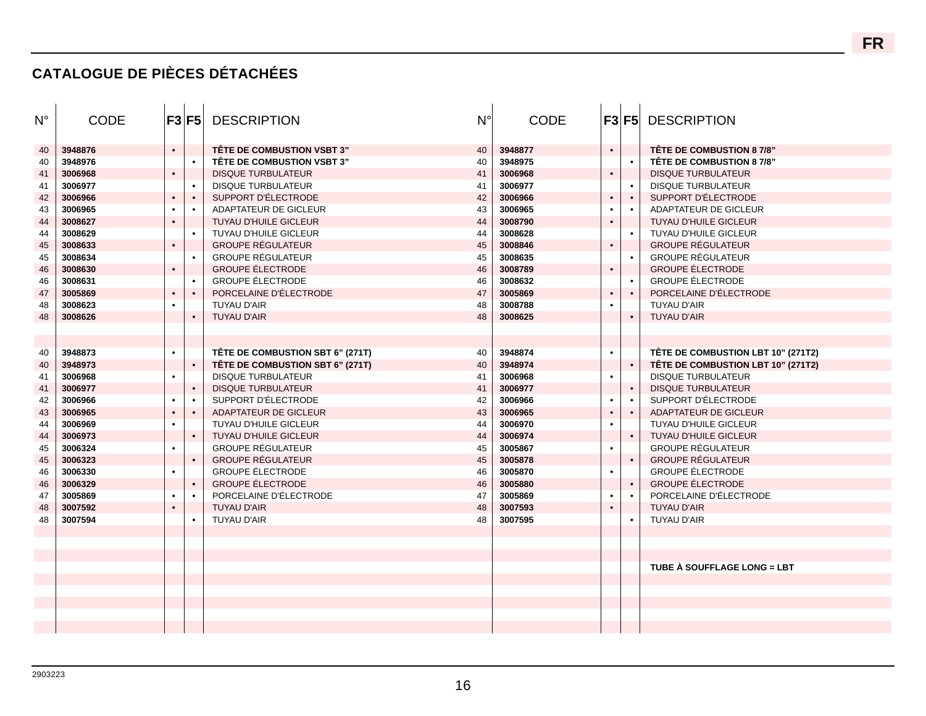## **CATALOGUE DE PIÈCES DÉTACHÉES**

| N° | <b>CODE</b> |           | F3 F5     | <b>DESCRIPTION</b>                | $N^{\circ}$ | <b>CODE</b> |           |           | <b>F3 F5 DESCRIPTION</b>           |
|----|-------------|-----------|-----------|-----------------------------------|-------------|-------------|-----------|-----------|------------------------------------|
| 40 | 3948876     | $\bullet$ |           | <b>TÊTE DE COMBUSTION VSBT 3"</b> | 40          | 3948877     | $\bullet$ |           | TÊTE DE COMBUSTION 8 7/8"          |
| 40 | 3948976     |           | $\bullet$ | <b>TÊTE DE COMBUSTION VSBT 3"</b> | 40          | 3948975     |           |           | TÊTE DE COMBUSTION 8 7/8"          |
| 41 | 3006968     | $\bullet$ |           | <b>DISQUE TURBULATEUR</b>         | 41          | 3006968     | $\bullet$ |           | <b>DISQUE TURBULATEUR</b>          |
| 41 | 3006977     |           | $\bullet$ | <b>DISQUE TURBULATEUR</b>         | 41          | 3006977     |           |           | <b>DISQUE TURBULATEUR</b>          |
| 42 | 3006966     | $\bullet$ | $\bullet$ | SUPPORT D'ÉLECTRODE               | 42          | 3006966     | $\bullet$ |           | SUPPORT D'ÉLECTRODE                |
| 43 | 3006965     | $\bullet$ | $\bullet$ | <b>ADAPTATEUR DE GICLEUR</b>      | 43          | 3006965     | $\bullet$ |           | <b>ADAPTATEUR DE GICLEUR</b>       |
| 44 | 3008627     | $\bullet$ |           | <b>TUYAU D'HUILE GICLEUR</b>      | 44          | 3008790     | $\bullet$ |           | <b>TUYAU D'HUILE GICLEUR</b>       |
| 44 | 3008629     |           | $\bullet$ | TUYAU D'HUILE GICLEUR             | 44          | 3008628     |           |           | TUYAU D'HUILE GICLEUR              |
| 45 | 3008633     | $\bullet$ |           | <b>GROUPE RÉGULATEUR</b>          | 45          | 3008846     | $\bullet$ |           | <b>GROUPE RÉGULATEUR</b>           |
| 45 | 3008634     |           | $\bullet$ | <b>GROUPE RÉGULATEUR</b>          | 45          | 3008635     |           |           | <b>GROUPE RÉGULATEUR</b>           |
| 46 | 3008630     | $\bullet$ |           | <b>GROUPE ÉLECTRODE</b>           | 46          | 3008789     | $\bullet$ |           | <b>GROUPE ÉLECTRODE</b>            |
| 46 | 3008631     |           | $\bullet$ | <b>GROUPE ÉLECTRODE</b>           | 46          | 3008632     |           |           | <b>GROUPE ÉLECTRODE</b>            |
| 47 | 3005869     | $\bullet$ | $\bullet$ | PORCELAINE D'ÉLECTRODE            | 47          | 3005869     | $\bullet$ | $\bullet$ | PORCELAINE D'ÉLECTRODE             |
| 48 | 3008623     | $\bullet$ |           | <b>TUYAU D'AIR</b>                | 48          | 3008788     | $\bullet$ |           | <b>TUYAU D'AIR</b>                 |
| 48 | 3008626     |           | $\bullet$ | <b>TUYAU D'AIR</b>                | 48          | 3008625     |           |           | <b>TUYAU D'AIR</b>                 |
|    |             |           |           |                                   |             |             |           |           |                                    |
|    |             |           |           |                                   |             |             |           |           |                                    |
| 40 | 3948873     | $\bullet$ |           | TÊTE DE COMBUSTION SBT 6" (271T)  | 40          | 3948874     | $\bullet$ |           | TÊTE DE COMBUSTION LBT 10" (271T2) |
| 40 | 3948973     |           | $\bullet$ | TÊTE DE COMBUSTION SBT 6" (271T)  | 40          | 3948974     |           | $\bullet$ | TÊTE DE COMBUSTION LBT 10" (271T2) |
| 41 | 3006968     | $\bullet$ |           | <b>DISQUE TURBULATEUR</b>         | 41          | 3006968     | $\bullet$ |           | <b>DISQUE TURBULATEUR</b>          |
| 41 | 3006977     |           | $\bullet$ | <b>DISQUE TURBULATEUR</b>         | 41          | 3006977     |           | $\bullet$ | <b>DISQUE TURBULATEUR</b>          |
| 42 | 3006966     | $\bullet$ |           | SUPPORT D'ÉLECTRODE               | 42          | 3006966     | $\bullet$ |           | SUPPORT D'ÉLECTRODE                |
| 43 | 3006965     |           | $\bullet$ | <b>ADAPTATEUR DE GICLEUR</b>      | 43          | 3006965     | $\bullet$ |           | <b>ADAPTATEUR DE GICLEUR</b>       |
| 44 | 3006969     | $\bullet$ |           | <b>TUYAU D'HUILE GICLEUR</b>      | 44          | 3006970     | $\bullet$ |           | <b>TUYAU D'HUILE GICLEUR</b>       |
| 44 | 3006973     |           | $\bullet$ | TUYAU D'HUILE GICLEUR             | 44          | 3006974     |           | $\bullet$ | TUYAU D'HUILE GICLEUR              |
| 45 | 3006324     | $\bullet$ |           | <b>GROUPE RÉGULATEUR</b>          | 45          | 3005867     | $\bullet$ |           | <b>GROUPE RÉGULATEUR</b>           |
| 45 | 3006323     |           | $\bullet$ | <b>GROUPE RÉGULATEUR</b>          | 45          | 3005878     |           | $\bullet$ | <b>GROUPE RÉGULATEUR</b>           |
| 46 | 3006330     | $\bullet$ |           | <b>GROUPE ÉLECTRODE</b>           | 46          | 3005870     | $\bullet$ |           | <b>GROUPE ÉLECTRODE</b>            |
| 46 | 3006329     |           | $\bullet$ | <b>GROUPE ÉLECTRODE</b>           | 46          | 3005880     |           |           | <b>GROUPE ÉLECTRODE</b>            |
| 47 | 3005869     | $\bullet$ | $\bullet$ | PORCELAINE D'ÉLECTRODE            | 47          | 3005869     | $\bullet$ |           | PORCELAINE D'ÉLECTRODE             |
| 48 | 3007592     |           |           | <b>TUYAU D'AIR</b>                | 48          | 3007593     | $\bullet$ |           | <b>TUYAU D'AIR</b>                 |
| 48 | 3007594     |           | $\bullet$ | TUYAU D'AIR                       | 48          | 3007595     |           |           | <b>TUYAU D'AIR</b>                 |
|    |             |           |           |                                   |             |             |           |           |                                    |
|    |             |           |           |                                   |             |             |           |           |                                    |
|    |             |           |           |                                   |             |             |           |           |                                    |
|    |             |           |           |                                   |             |             |           |           | TUBE À SOUFFLAGE LONG = LBT        |
|    |             |           |           |                                   |             |             |           |           |                                    |
|    |             |           |           |                                   |             |             |           |           |                                    |
|    |             |           |           |                                   |             |             |           |           |                                    |
|    |             |           |           |                                   |             |             |           |           |                                    |
|    |             |           |           |                                   |             |             |           |           |                                    |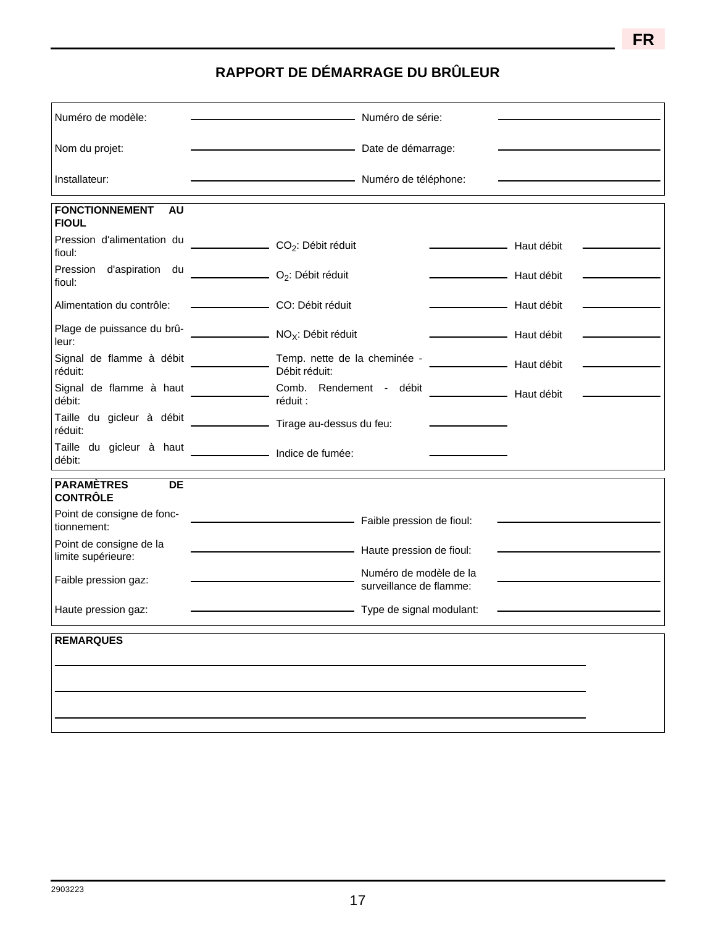**FR**

## **RAPPORT DE DÉMARRAGE DU BRÛLEUR**

| Numéro de modèle:                                  | Numéro de série:                                  |            |
|----------------------------------------------------|---------------------------------------------------|------------|
| Nom du projet:                                     | Date de démarrage:                                |            |
| Installateur:                                      | Numéro de téléphone:                              |            |
| <b>FONCTIONNEMENT</b><br><b>AU</b><br><b>FIOUL</b> |                                                   |            |
| Pression d'alimentation du<br>fioul:               | CO <sub>2</sub> : Débit réduit                    | Haut débit |
| Pression d'aspiration du<br>fioul:                 | $O_2$ : Débit réduit                              | Haut débit |
| Alimentation du contrôle:                          | CO: Débit réduit                                  | Haut débit |
| Plage de puissance du brû-<br>leur:                | NO <sub>X</sub> : Débit réduit                    | Haut débit |
| Signal de flamme à débit<br>réduit:                | Temp. nette de la cheminée -<br>Débit réduit:     | Haut débit |
| Signal de flamme à haut<br>débit:                  | Comb. Rendement - débit<br>réduit :               | Haut débit |
| Taille du gicleur à débit<br>réduit:               | Tirage au-dessus du feu:                          |            |
| Taille du gicleur à haut<br>débit:                 |                                                   |            |
| <b>PARAMÈTRES</b><br>DE<br><b>CONTRÔLE</b>         |                                                   |            |
| Point de consigne de fonc-<br>tionnement:          | Faible pression de fioul:                         |            |
| Point de consigne de la<br>limite supérieure:      | Haute pression de fioul:                          |            |
| Faible pression gaz:                               | Numéro de modèle de la<br>surveillance de flamme: |            |
| Haute pression gaz:                                | Type de signal modulant:                          |            |
| <b>REMARQUES</b>                                   |                                                   |            |
|                                                    |                                                   |            |
|                                                    |                                                   |            |
|                                                    |                                                   |            |